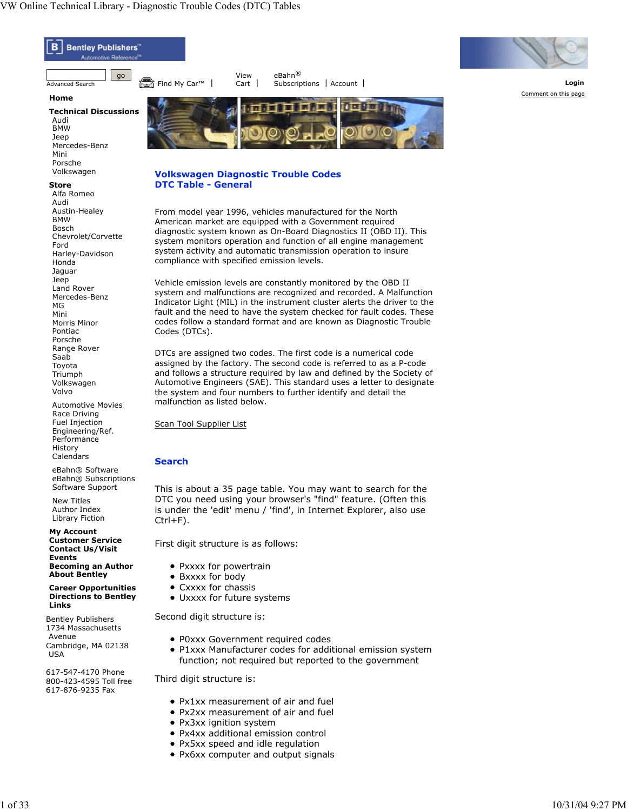Jaguar Jeep Land Rover Mercedes-Benz

MG Mini Morris Minor Pontiac Porsche Range Rover Saab Toyota Triumph Volkswagen Volvo

**Events**

**Links**

Avenue

USA

**Becoming an Author About Bentley Career Opportunities Directions to Bentley**

Bentley Publishers 1734 Massachusetts

Cambridge, MA 02138

617-547-4170 Phone 800-423-4595 Toll free 617-876-9235 Fax

Automotive Movies Race Driving Fuel Injection Engineering/Ref. Performance **History** Calendars eBahn® Software eBahn® Subscriptions Software Support New Titles Author Index Library Fiction **My Account Customer Service Contact Us/Visit**



Vehicle emission levels are constantly monitored by the OBD II system and malfunctions are recognized and recorded. A Malfunction Indicator Light (MIL) in the instrument cluster alerts the driver to the fault and the need to have the system checked for fault codes. These codes follow a standard format and are known as Diagnostic Trouble Codes (DTCs).

DTCs are assigned two codes. The first code is a numerical code assigned by the factory. The second code is referred to as a P-code and follows a structure required by law and defined by the Society of Automotive Engineers (SAE). This standard uses a letter to designate the system and four numbers to further identify and detail the malfunction as listed below.

Scan Tool Supplier List

## **Search**

This is about a 35 page table. You may want to search for the DTC you need using your browser's "find" feature. (Often this is under the 'edit' menu / 'find', in Internet Explorer, also use  $Ctrl + F$ ).

First digit structure is as follows:

- Pxxxx for powertrain
- Bxxxx for body
- Cxxxx for chassis
- Uxxxx for future systems

Second digit structure is:

- P0xxx Government required codes
- P1xxx Manufacturer codes for additional emission system function; not required but reported to the government

Third digit structure is:

- Px1xx measurement of air and fuel
- Px2xx measurement of air and fuel
- Px3xx ignition system
- Px4xx additional emission control
- Px5xx speed and idle regulation
- Px6xx computer and output signals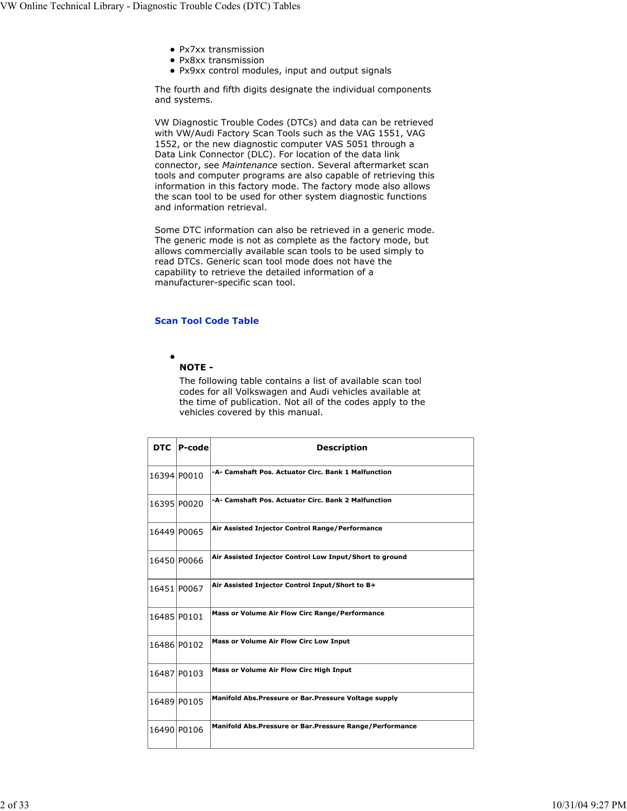- Px7xx transmission
- Px8xx transmission
- Px9xx control modules, input and output signals

The fourth and fifth digits designate the individual components and systems.

VW Diagnostic Trouble Codes (DTCs) and data can be retrieved with VW/Audi Factory Scan Tools such as the VAG 1551, VAG 1552, or the new diagnostic computer VAS 5051 through a Data Link Connector (DLC). For location of the data link connector, see *Maintenance* section. Several aftermarket scan tools and computer programs are also capable of retrieving this information in this factory mode. The factory mode also allows the scan tool to be used for other system diagnostic functions and information retrieval.

Some DTC information can also be retrieved in a generic mode. The generic mode is not as complete as the factory mode, but allows commercially available scan tools to be used simply to read DTCs. Generic scan tool mode does not have the capability to retrieve the detailed information of a manufacturer-specific scan tool.

## **Scan Tool Code Table**

## $\bullet$ **NOTE -**

The following table contains a list of available scan tool codes for all Volkswagen and Audi vehicles available at the time of publication. Not all of the codes apply to the vehicles covered by this manual.

| <b>DTC</b>  | P-code      | <b>Description</b>                                        |
|-------------|-------------|-----------------------------------------------------------|
| 16394 P0010 |             | -A- Camshaft Pos. Actuator Circ. Bank 1 Malfunction       |
|             | 16395 P0020 | -A- Camshaft Pos. Actuator Circ. Bank 2 Malfunction       |
| 16449 P0065 |             | Air Assisted Injector Control Range/Performance           |
|             | 16450 P0066 | Air Assisted Injector Control Low Input/Short to ground   |
|             | 16451 P0067 | Air Assisted Injector Control Input/Short to B+           |
| 16485 P0101 |             | Mass or Volume Air Flow Circ Range/Performance            |
|             | 16486 P0102 | Mass or Volume Air Flow Circ Low Input                    |
|             | 16487 P0103 | Mass or Volume Air Flow Circ High Input                   |
|             | 16489 P0105 | Manifold Abs. Pressure or Bar. Pressure Voltage supply    |
|             | 16490 P0106 | Manifold Abs. Pressure or Bar. Pressure Range/Performance |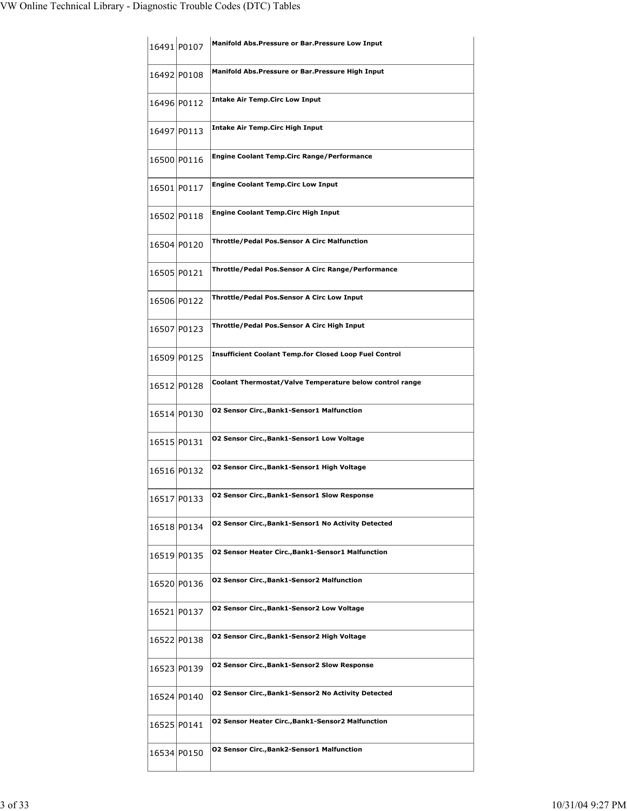|             | 16491 P0107 | Manifold Abs. Pressure or Bar. Pressure Low Input             |
|-------------|-------------|---------------------------------------------------------------|
| 16492 P0108 |             | Manifold Abs. Pressure or Bar. Pressure High Input            |
|             | 16496 P0112 | <b>Intake Air Temp.Circ Low Input</b>                         |
|             | 16497 P0113 | <b>Intake Air Temp. Circ High Input</b>                       |
|             | 16500 P0116 | <b>Engine Coolant Temp.Circ Range/Performance</b>             |
|             | 16501 P0117 | <b>Engine Coolant Temp.Circ Low Input</b>                     |
|             | 16502 P0118 | <b>Engine Coolant Temp.Circ High Input</b>                    |
| 16504 P0120 |             | <b>Throttle/Pedal Pos.Sensor A Circ Malfunction</b>           |
| 16505 P0121 |             | Throttle/Pedal Pos.Sensor A Circ Range/Performance            |
|             | 16506 P0122 | Throttle/Pedal Pos.Sensor A Circ Low Input                    |
|             | 16507 P0123 | Throttle/Pedal Pos.Sensor A Circ High Input                   |
|             | 16509 P0125 | <b>Insufficient Coolant Temp.for Closed Loop Fuel Control</b> |
|             | 16512 P0128 | Coolant Thermostat/Valve Temperature below control range      |
| 16514 P0130 |             | <b>02 Sensor Circ., Bank1-Sensor1 Malfunction</b>             |
| 16515 P0131 |             | <b>02 Sensor Circ., Bank1-Sensor1 Low Voltage</b>             |
|             | 16516 P0132 | 02 Sensor Circ., Bank1-Sensor1 High Voltage                   |
| 16517 P0133 |             | O2 Sensor Circ.,Bank1-Sensor1 Slow Response                   |
|             | 16518 P0134 | <b>02 Sensor Circ., Bank1-Sensor1 No Activity Detected</b>    |
|             | 16519 P0135 | 02 Sensor Heater Circ., Bank1-Sensor1 Malfunction             |
|             | 16520 P0136 | <b>02 Sensor Circ., Bank1-Sensor2 Malfunction</b>             |
|             | 16521 P0137 | <b>02 Sensor Circ., Bank1-Sensor 2 Low Voltage</b>            |
|             | 16522 P0138 | 02 Sensor Circ., Bank1-Sensor2 High Voltage                   |
|             | 16523 P0139 | <b>02 Sensor Circ., Bank1-Sensor2 Slow Response</b>           |
| 16524 P0140 |             | <b>02 Sensor Circ., Bank1-Sensor2 No Activity Detected</b>    |
|             | 16525 P0141 | <b>02 Sensor Heater Circ., Bank1-Sensor2 Malfunction</b>      |
|             | 16534 P0150 | <b>02 Sensor Circ., Bank2-Sensor1 Malfunction</b>             |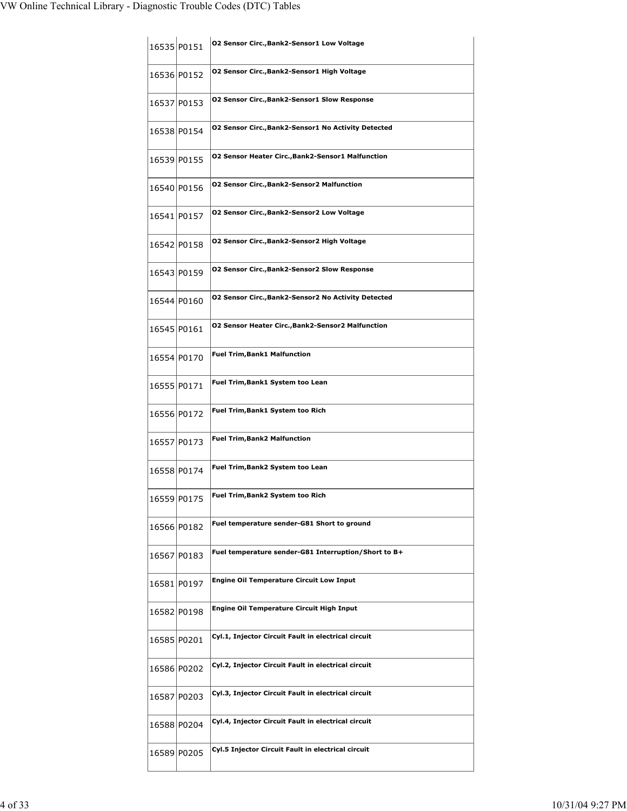|             | 16535 P0151 | 02 Sensor Circ., Bank2-Sensor1 Low Voltage                 |
|-------------|-------------|------------------------------------------------------------|
|             | 16536 P0152 | 02 Sensor Circ., Bank2-Sensor1 High Voltage                |
|             | 16537 P0153 | <b>02 Sensor Circ., Bank2-Sensor1 Slow Response</b>        |
|             | 16538 P0154 | <b>02 Sensor Circ., Bank2-Sensor1 No Activity Detected</b> |
| 16539 P0155 |             | 02 Sensor Heater Circ., Bank2-Sensor1 Malfunction          |
|             | 16540 P0156 | <b>02 Sensor Circ., Bank2-Sensor2 Malfunction</b>          |
| 16541 P0157 |             | <b>02 Sensor Circ., Bank2-Sensor 2 Low Voltage</b>         |
|             | 16542 P0158 | 02 Sensor Circ., Bank2-Sensor2 High Voltage                |
|             | 16543 P0159 | <b>02 Sensor Circ., Bank2-Sensor2 Slow Response</b>        |
|             | 16544 P0160 | <b>02 Sensor Circ., Bank2-Sensor2 No Activity Detected</b> |
| 16545 P0161 |             | <b>02 Sensor Heater Circ., Bank2-Sensor2 Malfunction</b>   |
|             | 16554 P0170 | <b>Fuel Trim, Bank1 Malfunction</b>                        |
|             | 16555 P0171 | Fuel Trim, Bank1 System too Lean                           |
|             | 16556 P0172 | Fuel Trim, Bank1 System too Rich                           |
| 16557 P0173 |             | <b>Fuel Trim, Bank2 Malfunction</b>                        |
|             | 16558 P0174 | Fuel Trim, Bank2 System too Lean                           |
|             | 16559 P0175 | Fuel Trim,Bank2 System too Rich                            |
|             | 16566 P0182 | Fuel temperature sender-G81 Short to ground                |
|             | 16567 P0183 | Fuel temperature sender-G81 Interruption/Short to B+       |
|             | 16581 P0197 | <b>Engine Oil Temperature Circuit Low Input</b>            |
|             | 16582 P0198 | Engine Oil Temperature Circuit High Input                  |
|             | 16585 P0201 | Cyl.1, Injector Circuit Fault in electrical circuit        |
|             | 16586 P0202 | Cyl.2, Injector Circuit Fault in electrical circuit        |
|             | 16587 P0203 | Cyl.3, Injector Circuit Fault in electrical circuit        |
|             | 16588 P0204 | Cyl.4, Injector Circuit Fault in electrical circuit        |
|             | 16589 P0205 | Cyl.5 Injector Circuit Fault in electrical circuit         |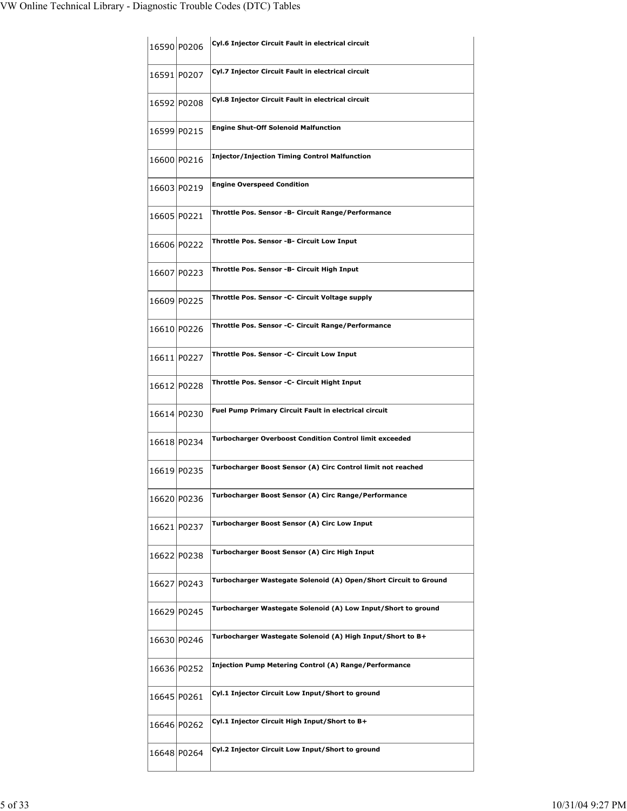| 16590 P0206 | Cyl.6 Injector Circuit Fault in electrical circuit               |
|-------------|------------------------------------------------------------------|
| 16591 P0207 | Cyl.7 Injector Circuit Fault in electrical circuit               |
| 16592 P0208 | Cyl.8 Injector Circuit Fault in electrical circuit               |
| 16599 P0215 | <b>Engine Shut-Off Solenoid Malfunction</b>                      |
| 16600 P0216 | <b>Injector/Injection Timing Control Malfunction</b>             |
| 16603 P0219 | <b>Engine Overspeed Condition</b>                                |
| 16605 P0221 | Throttle Pos. Sensor -B- Circuit Range/Performance               |
| 16606 P0222 | Throttle Pos. Sensor -B- Circuit Low Input                       |
| 16607 P0223 | Throttle Pos. Sensor -B- Circuit High Input                      |
| 16609 P0225 | Throttle Pos. Sensor -C- Circuit Voltage supply                  |
| 16610 P0226 | Throttle Pos. Sensor -C- Circuit Range/Performance               |
| 16611 P0227 | Throttle Pos. Sensor -C- Circuit Low Input                       |
| 16612 P0228 | Throttle Pos. Sensor -C- Circuit Hight Input                     |
| 16614 P0230 | Fuel Pump Primary Circuit Fault in electrical circuit            |
| 16618 P0234 | <b>Turbocharger Overboost Condition Control limit exceeded</b>   |
| 16619 P0235 | Turbocharger Boost Sensor (A) Circ Control limit not reached     |
| 16620 P0236 | Turbocharger Boost Sensor (A) Circ Range/Performance             |
| 16621 P0237 | Turbocharger Boost Sensor (A) Circ Low Input                     |
| 16622 P0238 | Turbocharger Boost Sensor (A) Circ High Input                    |
| 16627 P0243 | Turbocharger Wastegate Solenoid (A) Open/Short Circuit to Ground |
| 16629 P0245 | Turbocharger Wastegate Solenoid (A) Low Input/Short to ground    |
| 16630 P0246 | Turbocharger Wastegate Solenoid (A) High Input/Short to B+       |
| 16636 P0252 | <b>Injection Pump Metering Control (A) Range/Performance</b>     |
| 16645 P0261 | Cyl.1 Injector Circuit Low Input/Short to ground                 |
| 16646 P0262 | Cyl.1 Injector Circuit High Input/Short to B+                    |
| 16648 P0264 | Cyl.2 Injector Circuit Low Input/Short to ground                 |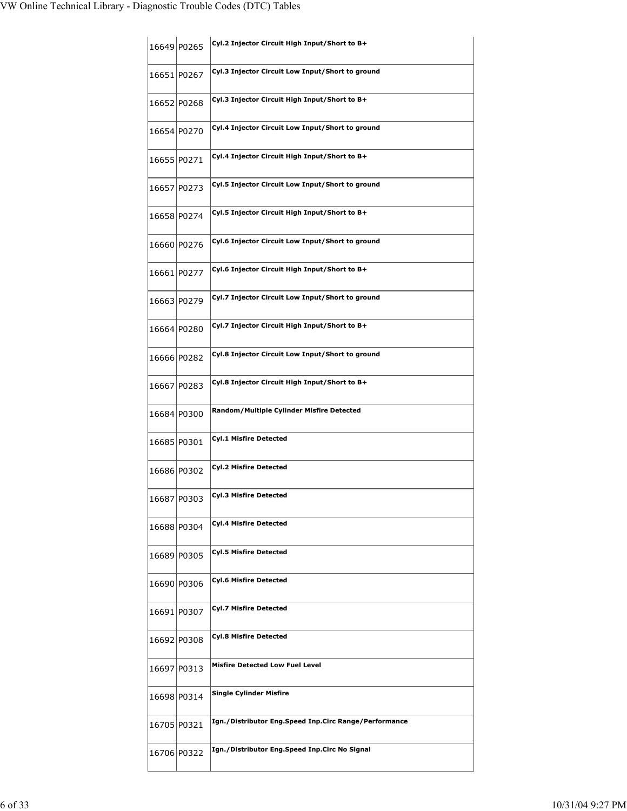|             | 16649 P0265 | Cyl.2 Injector Circuit High Input/Short to B+         |
|-------------|-------------|-------------------------------------------------------|
|             | 16651 P0267 | Cyl.3 Injector Circuit Low Input/Short to ground      |
|             | 16652 P0268 | Cyl.3 Injector Circuit High Input/Short to B+         |
|             | 16654 P0270 | Cyl.4 Injector Circuit Low Input/Short to ground      |
| 16655 P0271 |             | Cyl.4 Injector Circuit High Input/Short to B+         |
|             | 16657 P0273 | Cyl.5 Injector Circuit Low Input/Short to ground      |
|             | 16658 P0274 | Cyl.5 Injector Circuit High Input/Short to B+         |
|             | 16660 P0276 | Cyl.6 Injector Circuit Low Input/Short to ground      |
|             | 16661 P0277 | Cyl.6 Injector Circuit High Input/Short to B+         |
|             | 16663 P0279 | Cyl.7 Injector Circuit Low Input/Short to ground      |
|             | 16664 P0280 | Cyl.7 Injector Circuit High Input/Short to B+         |
|             | 16666 P0282 | Cyl.8 Injector Circuit Low Input/Short to ground      |
|             | 16667 P0283 | Cyl.8 Injector Circuit High Input/Short to B+         |
|             | 16684 P0300 | Random/Multiple Cylinder Misfire Detected             |
| 16685 P0301 |             | <b>Cyl.1 Misfire Detected</b>                         |
|             | 16686 P0302 | <b>Cyl.2 Misfire Detected</b>                         |
|             | 16687 P0303 | Cyl.3 Misfire Detected                                |
|             | 16688 P0304 | <b>Cyl.4 Misfire Detected</b>                         |
|             | 16689 P0305 | <b>Cyl.5 Misfire Detected</b>                         |
|             | 16690 P0306 | <b>Cyl.6 Misfire Detected</b>                         |
|             |             |                                                       |
|             | 16691 P0307 | <b>Cyl.7 Misfire Detected</b>                         |
|             | 16692 P0308 | <b>Cyl.8 Misfire Detected</b>                         |
|             | 16697 P0313 | <b>Misfire Detected Low Fuel Level</b>                |
|             | 16698 P0314 | <b>Single Cylinder Misfire</b>                        |
|             | 16705 P0321 | Ign./Distributor Eng.Speed Inp.Circ Range/Performance |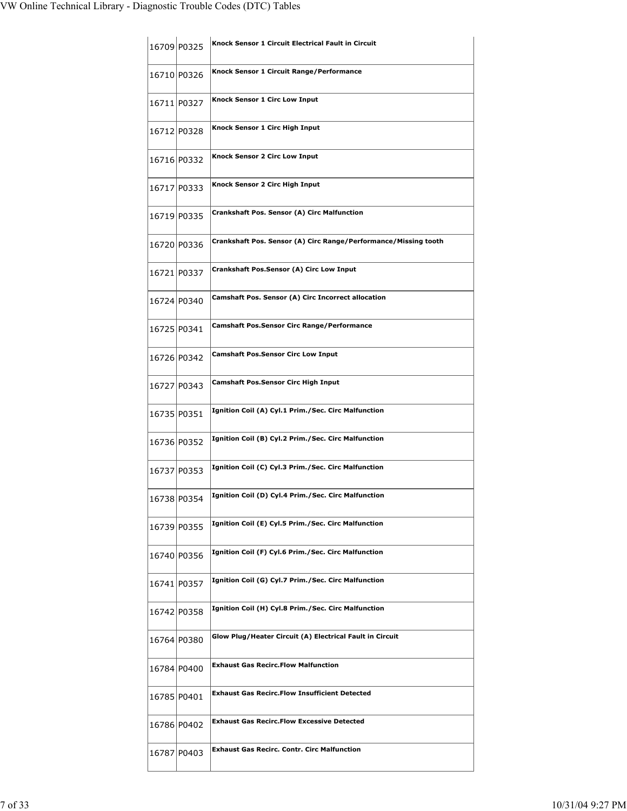|             | 16709 P0325 | Knock Sensor 1 Circuit Electrical Fault in Circuit              |
|-------------|-------------|-----------------------------------------------------------------|
|             | 16710 P0326 | Knock Sensor 1 Circuit Range/Performance                        |
|             | 16711 P0327 | Knock Sensor 1 Circ Low Input                                   |
|             | 16712 P0328 | Knock Sensor 1 Circ High Input                                  |
|             | 16716 P0332 | Knock Sensor 2 Circ Low Input                                   |
|             | 16717 P0333 | Knock Sensor 2 Circ High Input                                  |
|             | 16719 P0335 | Crankshaft Pos. Sensor (A) Circ Malfunction                     |
|             | 16720 P0336 | Crankshaft Pos. Sensor (A) Circ Range/Performance/Missing tooth |
|             | 16721 P0337 | Crankshaft Pos.Sensor (A) Circ Low Input                        |
|             | 16724 P0340 | Camshaft Pos. Sensor (A) Circ Incorrect allocation              |
| 16725 P0341 |             | <b>Camshaft Pos.Sensor Circ Range/Performance</b>               |
| 16726 P0342 |             | <b>Camshaft Pos.Sensor Circ Low Input</b>                       |
|             | 16727 P0343 | <b>Camshaft Pos.Sensor Circ High Input</b>                      |
| 16735 P0351 |             | Ignition Coil (A) Cyl.1 Prim./Sec. Circ Malfunction             |
|             | 16736 P0352 | Ignition Coil (B) Cyl.2 Prim./Sec. Circ Malfunction             |
|             | 16737 P0353 | Ignition Coil (C) Cyl.3 Prim./Sec. Circ Malfunction             |
|             | 16738 P0354 | Ignition Coil (D) Cyl.4 Prim./Sec. Circ Malfunction             |
|             | 16739 P0355 | Ignition Coil (E) Cyl.5 Prim./Sec. Circ Malfunction             |
|             | 16740 P0356 | Ignition Coil (F) Cyl.6 Prim./Sec. Circ Malfunction             |
|             | 16741 P0357 | Ignition Coil (G) Cyl.7 Prim./Sec. Circ Malfunction             |
|             | 16742 P0358 | Ignition Coil (H) Cyl.8 Prim./Sec. Circ Malfunction             |
| 16764 P0380 |             | Glow Plug/Heater Circuit (A) Electrical Fault in Circuit        |
|             | 16784 P0400 | <b>Exhaust Gas Recirc.Flow Malfunction</b>                      |
| 16785 P0401 |             | <b>Exhaust Gas Recirc.Flow Insufficient Detected</b>            |
|             | 16786 P0402 | <b>Exhaust Gas Recirc.Flow Excessive Detected</b>               |
|             | 16787 P0403 | <b>Exhaust Gas Recirc. Contr. Circ Malfunction</b>              |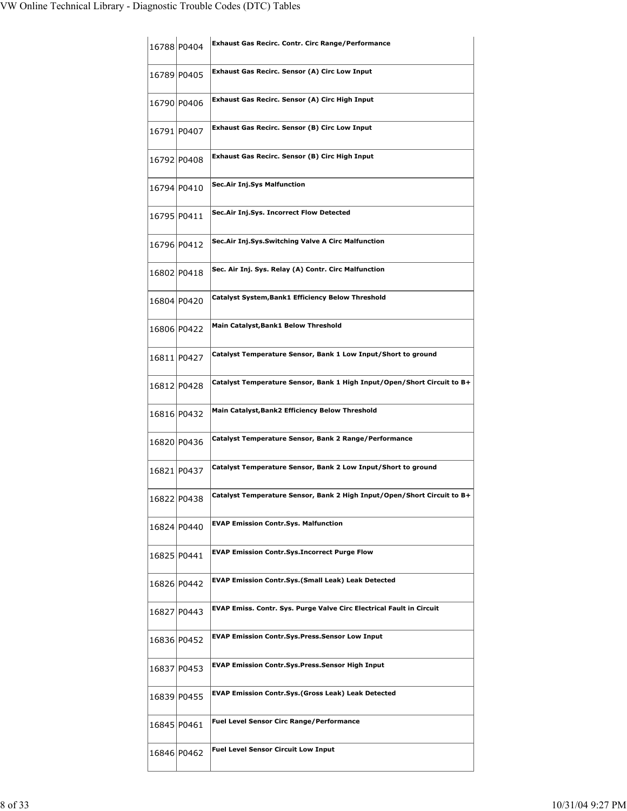| 16788 P0404 | Exhaust Gas Recirc. Contr. Circ Range/Performance                           |
|-------------|-----------------------------------------------------------------------------|
| 16789 P0405 | Exhaust Gas Recirc. Sensor (A) Circ Low Input                               |
| 16790 P0406 | Exhaust Gas Recirc. Sensor (A) Circ High Input                              |
| 16791 P0407 | Exhaust Gas Recirc. Sensor (B) Circ Low Input                               |
| 16792 P0408 | Exhaust Gas Recirc. Sensor (B) Circ High Input                              |
| 16794 P0410 | Sec.Air Inj.Sys Malfunction                                                 |
| 16795 P0411 | Sec.Air Inj.Sys. Incorrect Flow Detected                                    |
| 16796 P0412 | Sec.Air Inj.Sys.Switching Valve A Circ Malfunction                          |
| 16802 P0418 | Sec. Air Inj. Sys. Relay (A) Contr. Circ Malfunction                        |
| 16804 P0420 | Catalyst System, Bank1 Efficiency Below Threshold                           |
| 16806 P0422 | Main Catalyst, Bank1 Below Threshold                                        |
| 16811 P0427 | Catalyst Temperature Sensor, Bank 1 Low Input/Short to ground               |
| 16812 P0428 | Catalyst Temperature Sensor, Bank 1 High Input/Open/Short Circuit to B+     |
| 16816 P0432 | Main Catalyst, Bank2 Efficiency Below Threshold                             |
| 16820 P0436 | Catalyst Temperature Sensor, Bank 2 Range/Performance                       |
| 16821 P0437 | Catalyst Temperature Sensor, Bank 2 Low Input/Short to ground               |
| 16822 P0438 | Catalyst Temperature Sensor, Bank 2 High Input/Open/Short Circuit to B·     |
| 16824 P0440 | <b>EVAP Emission Contr.Sys. Malfunction</b>                                 |
| 16825 P0441 | <b>EVAP Emission Contr.Sys.Incorrect Purge Flow</b>                         |
| 16826 P0442 | <b>EVAP Emission Contr.Sys.(Small Leak) Leak Detected</b>                   |
| 16827 P0443 | <b>EVAP Emiss. Contr. Sys. Purge Valve Circ Electrical Fault in Circuit</b> |
| 16836 P0452 | <b>EVAP Emission Contr.Sys.Press.Sensor Low Input</b>                       |
| 16837 P0453 | <b>EVAP Emission Contr.Sys.Press.Sensor High Input</b>                      |
| 16839 P0455 | <b>EVAP Emission Contr.Sys.(Gross Leak) Leak Detected</b>                   |
| 16845 P0461 | <b>Fuel Level Sensor Circ Range/Performance</b>                             |
| 16846 P0462 | <b>Fuel Level Sensor Circuit Low Input</b>                                  |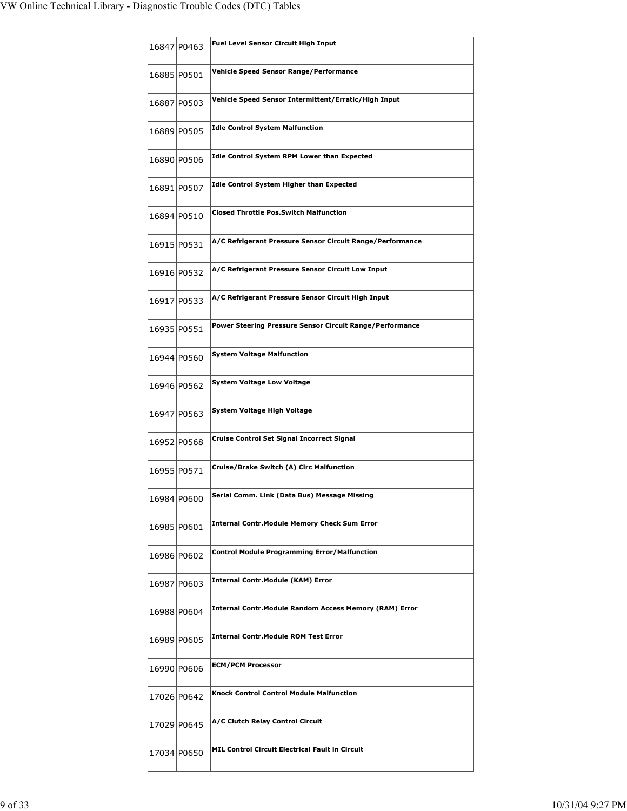|             | 16847 P0463 | Fuel Level Sensor Circuit High Input                           |
|-------------|-------------|----------------------------------------------------------------|
| 16885 P0501 |             | Vehicle Speed Sensor Range/Performance                         |
|             | 16887 P0503 | Vehicle Speed Sensor Intermittent/Erratic/High Input           |
| 16889 P0505 |             | <b>Idle Control System Malfunction</b>                         |
| 16890 P0506 |             | <b>Idle Control System RPM Lower than Expected</b>             |
|             | 16891 P0507 | <b>Idle Control System Higher than Expected</b>                |
| 16894 P0510 |             | <b>Closed Throttle Pos.Switch Malfunction</b>                  |
| 16915 P0531 |             | A/C Refrigerant Pressure Sensor Circuit Range/Performance      |
|             | 16916 P0532 | A/C Refrigerant Pressure Sensor Circuit Low Input              |
| 16917 P0533 |             | A/C Refrigerant Pressure Sensor Circuit High Input             |
| 16935 P0551 |             | Power Steering Pressure Sensor Circuit Range/Performance       |
| 16944 P0560 |             | <b>System Voltage Malfunction</b>                              |
|             | 16946 P0562 | <b>System Voltage Low Voltage</b>                              |
| 16947 P0563 |             | System Voltage High Voltage                                    |
| 16952 P0568 |             | Cruise Control Set Signal Incorrect Signal                     |
| 16955 P0571 |             | Cruise/Brake Switch (A) Circ Malfunction                       |
| 16984 P0600 |             | Serial Comm. Link (Data Bus) Message Missing                   |
| 16985 P0601 |             | <b>Internal Contr. Module Memory Check Sum Error</b>           |
| 16986 P0602 |             | <b>Control Module Programming Error/Malfunction</b>            |
| 16987 P0603 |             | <b>Internal Contr.Module (KAM) Error</b>                       |
|             | 16988 P0604 | <b>Internal Contr. Module Random Access Memory (RAM) Error</b> |
|             | 16989 P0605 | <b>Internal Contr. Module ROM Test Error</b>                   |
|             | 16990 P0606 | <b>ECM/PCM Processor</b>                                       |
| 17026 P0642 |             | <b>Knock Control Control Module Malfunction</b>                |
|             | 17029 P0645 | A/C Clutch Relay Control Circuit                               |
| 17034 P0650 |             | MIL Control Circuit Electrical Fault in Circuit                |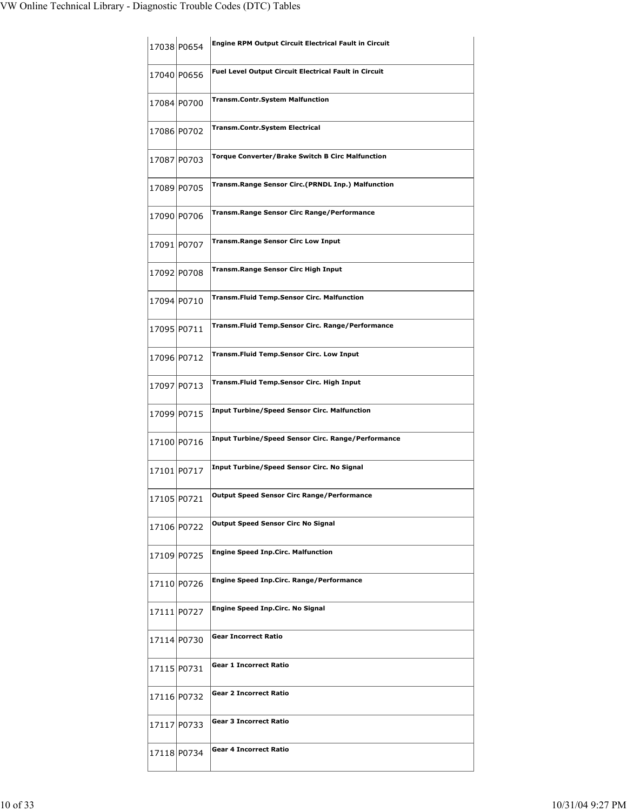|             | 17038 P0654 | <b>Engine RPM Output Circuit Electrical Fault in Circuit</b> |
|-------------|-------------|--------------------------------------------------------------|
| 17040 P0656 |             | <b>Fuel Level Output Circuit Electrical Fault in Circuit</b> |
|             | 17084 P0700 | <b>Transm.Contr.System Malfunction</b>                       |
|             | 17086 P0702 | Transm.Contr.System Electrical                               |
| 17087 P0703 |             | <b>Torque Converter/Brake Switch B Circ Malfunction</b>      |
|             | 17089 P0705 | Transm.Range Sensor Circ.(PRNDL Inp.) Malfunction            |
|             | 17090 P0706 | <b>Transm.Range Sensor Circ Range/Performance</b>            |
|             | 17091 P0707 | <b>Transm.Range Sensor Circ Low Input</b>                    |
|             | 17092 P0708 | <b>Transm.Range Sensor Circ High Input</b>                   |
| 17094 P0710 |             | <b>Transm.Fluid Temp.Sensor Circ. Malfunction</b>            |
| 17095 P0711 |             | Transm.Fluid Temp.Sensor Circ. Range/Performance             |
| 17096 P0712 |             | Transm.Fluid Temp.Sensor Circ. Low Input                     |
|             | 17097 P0713 | Transm.Fluid Temp.Sensor Circ. High Input                    |
|             | 17099 P0715 | <b>Input Turbine/Speed Sensor Circ. Malfunction</b>          |
| 17100 P0716 |             | <b>Input Turbine/Speed Sensor Circ. Range/Performance</b>    |
|             | 17101 P0717 | Input Turbine/Speed Sensor Circ. No Signal                   |
| 17105 P0721 |             | Output Speed Sensor Circ Range/Performance                   |
|             | 17106 P0722 | <b>Output Speed Sensor Circ No Signal</b>                    |
|             | 17109 P0725 | <b>Engine Speed Inp.Circ. Malfunction</b>                    |
| 17110 P0726 |             | <b>Engine Speed Inp.Circ. Range/Performance</b>              |
| 17111 P0727 |             | <b>Engine Speed Inp.Circ. No Signal</b>                      |
| 17114 P0730 |             | <b>Gear Incorrect Ratio</b>                                  |
| 17115 P0731 |             | <b>Gear 1 Incorrect Ratio</b>                                |
| 17116 P0732 |             | <b>Gear 2 Incorrect Ratio</b>                                |
| 17117 P0733 |             | <b>Gear 3 Incorrect Ratio</b>                                |
| 17118 P0734 |             | <b>Gear 4 Incorrect Ratio</b>                                |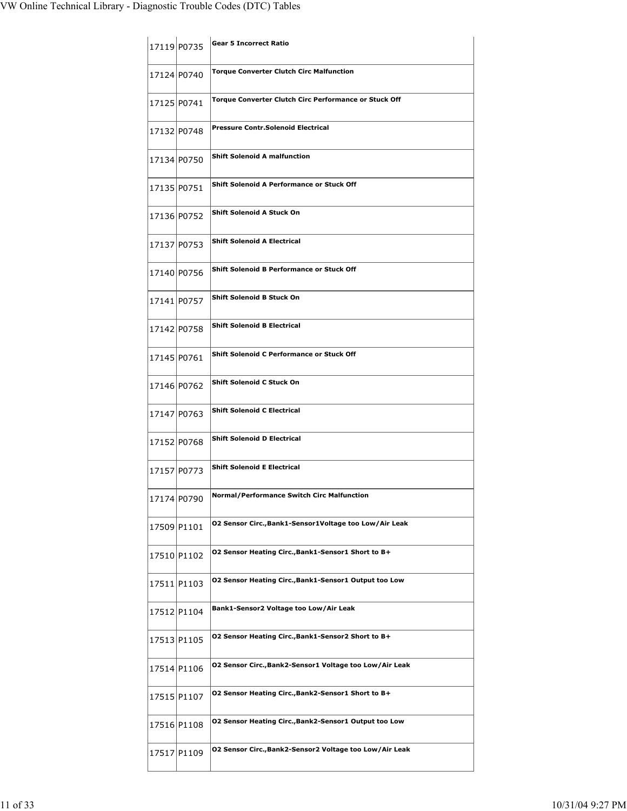|             | 17119 P0735 | <b>Gear 5 Incorrect Ratio</b>                           |
|-------------|-------------|---------------------------------------------------------|
|             | 17124 P0740 | <b>Torque Converter Clutch Circ Malfunction</b>         |
|             | 17125 P0741 | Torque Converter Clutch Circ Performance or Stuck Off   |
|             | 17132 P0748 | <b>Pressure Contr.Solenoid Electrical</b>               |
|             | 17134 P0750 | <b>Shift Solenoid A malfunction</b>                     |
|             | 17135 P0751 | <b>Shift Solenoid A Performance or Stuck Off</b>        |
|             | 17136 P0752 | <b>Shift Solenoid A Stuck On</b>                        |
|             | 17137 P0753 | <b>Shift Solenoid A Electrical</b>                      |
|             | 17140 P0756 | Shift Solenoid B Performance or Stuck Off               |
|             | 17141 P0757 | Shift Solenoid B Stuck On                               |
|             | 17142 P0758 | <b>Shift Solenoid B Electrical</b>                      |
|             | 17145 P0761 | <b>Shift Solenoid C Performance or Stuck Off</b>        |
|             | 17146 P0762 | Shift Solenoid C Stuck On                               |
|             | 17147 P0763 | <b>Shift Solenoid C Electrical</b>                      |
|             | 17152 P0768 | <b>Shift Solenoid D Electrical</b>                      |
|             | 17157 P0773 | <b>Shift Solenoid E Electrical</b>                      |
| 17174 P0790 |             | <b>Normal/Performance Switch Circ Malfunction</b>       |
|             | 17509 P1101 | 02 Sensor Circ., Bank1-Sensor1Voltage too Low/Air Leak  |
|             | 17510 P1102 | O2 Sensor Heating Circ., Bank1-Sensor1 Short to B+      |
|             | 17511 P1103 | 02 Sensor Heating Circ., Bank1-Sensor1 Output too Low   |
|             | 17512 P1104 | Bank1-Sensor2 Voltage too Low/Air Leak                  |
|             | 17513 P1105 | O2 Sensor Heating Circ., Bank1-Sensor2 Short to B+      |
|             | 17514 P1106 | 02 Sensor Circ., Bank2-Sensor1 Voltage too Low/Air Leak |
|             | 17515 P1107 | O2 Sensor Heating Circ., Bank2-Sensor1 Short to B+      |
|             | 17516 P1108 | 02 Sensor Heating Circ., Bank2-Sensor1 Output too Low   |
|             | 17517 P1109 | 02 Sensor Circ., Bank2-Sensor2 Voltage too Low/Air Leak |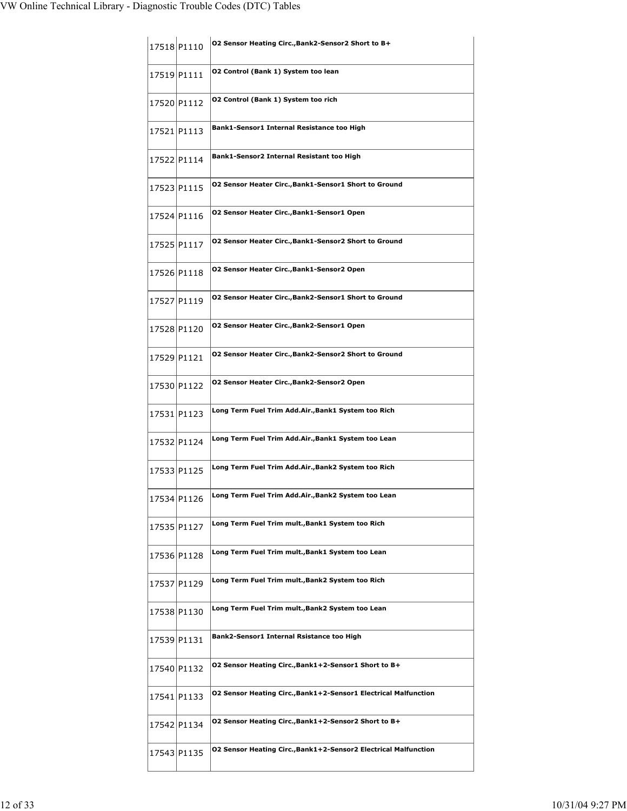| 17518 P1110 | O2 Sensor Heating Circ., Bank2-Sensor2 Short to B+                     |
|-------------|------------------------------------------------------------------------|
| 17519 P1111 | O2 Control (Bank 1) System too lean                                    |
| 17520 P1112 | 02 Control (Bank 1) System too rich                                    |
| 17521 P1113 | Bank1-Sensor1 Internal Resistance too High                             |
| 17522 P1114 | Bank1-Sensor2 Internal Resistant too High                              |
| 17523 P1115 | <b>02 Sensor Heater Circ., Bank1-Sensor1 Short to Ground</b>           |
| 17524 P1116 | 02 Sensor Heater Circ., Bank1-Sensor1 Open                             |
| 17525 P1117 | 02 Sensor Heater Circ., Bank1-Sensor2 Short to Ground                  |
| 17526 P1118 | 02 Sensor Heater Circ., Bank1-Sensor2 Open                             |
| 17527 P1119 | 02 Sensor Heater Circ., Bank2-Sensor1 Short to Ground                  |
| 17528 P1120 | 02 Sensor Heater Circ., Bank2-Sensor1 Open                             |
| 17529 P1121 | <b>02 Sensor Heater Circ., Bank2-Sensor2 Short to Ground</b>           |
| 17530 P1122 | 02 Sensor Heater Circ., Bank2-Sensor2 Open                             |
| 17531 P1123 | Long Term Fuel Trim Add.Air., Bank1 System too Rich                    |
| 17532 P1124 | Long Term Fuel Trim Add.Air., Bank1 System too Lean                    |
| 17533 P1125 | Long Term Fuel Trim Add.Air., Bank2 System too Rich                    |
| 17534 P1126 | Long Term Fuel Trim Add.Air.,Bank2 System too Lean                     |
| 17535 P1127 | Long Term Fuel Trim mult., Bank1 System too Rich                       |
| 17536 P1128 | Long Term Fuel Trim mult., Bank1 System too Lean                       |
| 17537 P1129 | Long Term Fuel Trim mult., Bank2 System too Rich                       |
| 17538 P1130 | Long Term Fuel Trim mult., Bank2 System too Lean                       |
| 17539 P1131 | Bank2-Sensor1 Internal Rsistance too High                              |
| 17540 P1132 | O2 Sensor Heating Circ., Bank1+2-Sensor1 Short to B+                   |
| 17541 P1133 | <b>02 Sensor Heating Circ., Bank1+2-Sensor1 Electrical Malfunction</b> |
| 17542 P1134 | O2 Sensor Heating Circ., Bank1+2-Sensor2 Short to B+                   |
| 17543 P1135 | O2 Sensor Heating Circ., Bank1+2-Sensor2 Electrical Malfunction        |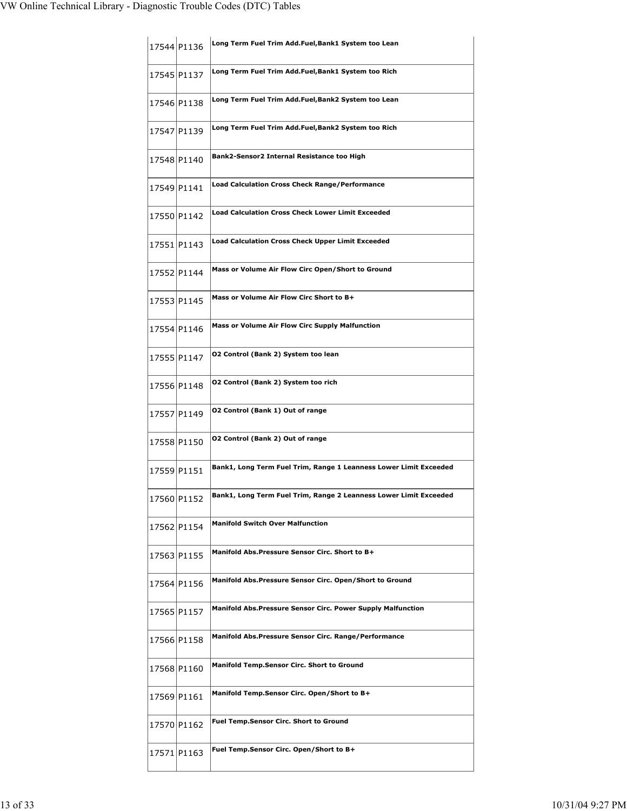|             | 17544 P1136 | Long Term Fuel Trim Add.Fuel, Bank1 System too Lean                |
|-------------|-------------|--------------------------------------------------------------------|
|             | 17545 P1137 | Long Term Fuel Trim Add.Fuel,Bank1 System too Rich                 |
|             | 17546 P1138 | Long Term Fuel Trim Add.Fuel,Bank2 System too Lean                 |
|             | 17547 P1139 | Long Term Fuel Trim Add.Fuel,Bank2 System too Rich                 |
|             | 17548 P1140 | Bank2-Sensor2 Internal Resistance too High                         |
|             | 17549 P1141 | <b>Load Calculation Cross Check Range/Performance</b>              |
|             | 17550 P1142 | <b>Load Calculation Cross Check Lower Limit Exceeded</b>           |
|             | 17551 P1143 | <b>Load Calculation Cross Check Upper Limit Exceeded</b>           |
|             | 17552 P1144 | Mass or Volume Air Flow Circ Open/Short to Ground                  |
|             | 17553 P1145 | Mass or Volume Air Flow Circ Short to B+                           |
|             | 17554 P1146 | Mass or Volume Air Flow Circ Supply Malfunction                    |
|             | 17555 P1147 | 02 Control (Bank 2) System too lean                                |
|             | 17556 P1148 | O2 Control (Bank 2) System too rich                                |
|             | 17557 P1149 | O2 Control (Bank 1) Out of range                                   |
|             | 17558 P1150 | 02 Control (Bank 2) Out of range                                   |
|             | 17559 P1151 | Bank1, Long Term Fuel Trim, Range 1 Leanness Lower Limit Exceeded  |
|             | 17560 P1152 | Bank1, Long Term Fuel Trim, Range 2 Leanness Lower Limit Exceeded  |
|             | 17562 P1154 | <b>Manifold Switch Over Malfunction</b>                            |
|             | 17563 P1155 | Manifold Abs. Pressure Sensor Circ. Short to B+                    |
|             | 17564 P1156 | Manifold Abs. Pressure Sensor Circ. Open/Short to Ground           |
|             | 17565 P1157 | <b>Manifold Abs.Pressure Sensor Circ. Power Supply Malfunction</b> |
|             | 17566 P1158 | <b>Manifold Abs.Pressure Sensor Circ. Range/Performance</b>        |
|             | 17568 P1160 | Manifold Temp.Sensor Circ. Short to Ground                         |
| 17569 P1161 |             | Manifold Temp.Sensor Circ. Open/Short to B+                        |
|             | 17570 P1162 | <b>Fuel Temp.Sensor Circ. Short to Ground</b>                      |
|             | 17571 P1163 | Fuel Temp.Sensor Circ. Open/Short to B+                            |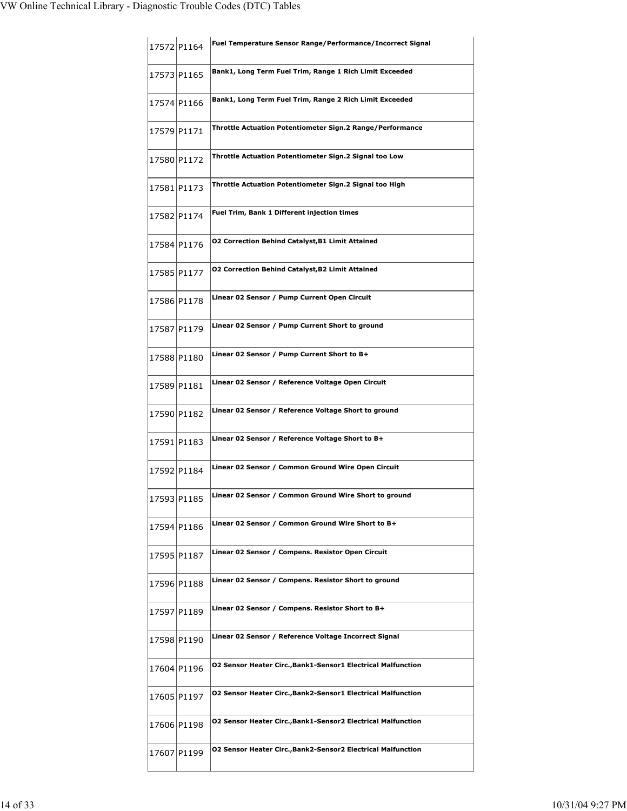|             | 17572 P1164 | Fuel Temperature Sensor Range/Performance/Incorrect Signal          |
|-------------|-------------|---------------------------------------------------------------------|
| 17573 P1165 |             | Bank1, Long Term Fuel Trim, Range 1 Rich Limit Exceeded             |
|             | 17574 P1166 | Bank1, Long Term Fuel Trim, Range 2 Rich Limit Exceeded             |
| 17579 P1171 |             | Throttle Actuation Potentiometer Sign.2 Range/Performance           |
| 17580 P1172 |             | Throttle Actuation Potentiometer Sign.2 Signal too Low              |
|             | 17581 P1173 | Throttle Actuation Potentiometer Sign.2 Signal too High             |
|             | 17582 P1174 | <b>Fuel Trim, Bank 1 Different injection times</b>                  |
|             | 17584 P1176 | <b>02 Correction Behind Catalyst, B1 Limit Attained</b>             |
|             | 17585 P1177 | <b>02 Correction Behind Catalyst, B2 Limit Attained</b>             |
|             | 17586 P1178 | Linear 02 Sensor / Pump Current Open Circuit                        |
|             | 17587 P1179 | Linear 02 Sensor / Pump Current Short to ground                     |
| 17588 P1180 |             | Linear 02 Sensor / Pump Current Short to B+                         |
| 17589 P1181 |             | Linear 02 Sensor / Reference Voltage Open Circuit                   |
| 17590 P1182 |             | Linear 02 Sensor / Reference Voltage Short to ground                |
|             | 17591 P1183 | Linear 02 Sensor / Reference Voltage Short to B+                    |
|             | 17592 P1184 | Linear 02 Sensor / Common Ground Wire Open Circuit                  |
| 17593 P1185 |             | Linear 02 Sensor / Common Ground Wire Short to ground               |
|             | 17594 P1186 | Linear 02 Sensor / Common Ground Wire Short to B+                   |
|             | 17595 P1187 | Linear 02 Sensor / Compens. Resistor Open Circuit                   |
|             | 17596 P1188 | Linear 02 Sensor / Compens. Resistor Short to ground                |
|             | 17597 P1189 | Linear 02 Sensor / Compens. Resistor Short to B+                    |
|             | 17598 P1190 | Linear 02 Sensor / Reference Voltage Incorrect Signal               |
|             | 17604 P1196 | <b>02 Sensor Heater Circ., Bank1-Sensor1 Electrical Malfunction</b> |
|             | 17605 P1197 | <b>02 Sensor Heater Circ., Bank2-Sensor1 Electrical Malfunction</b> |
|             | 17606 P1198 | <b>02 Sensor Heater Circ., Bank1-Sensor2 Electrical Malfunction</b> |
|             | 17607 P1199 | <b>02 Sensor Heater Circ., Bank2-Sensor2 Electrical Malfunction</b> |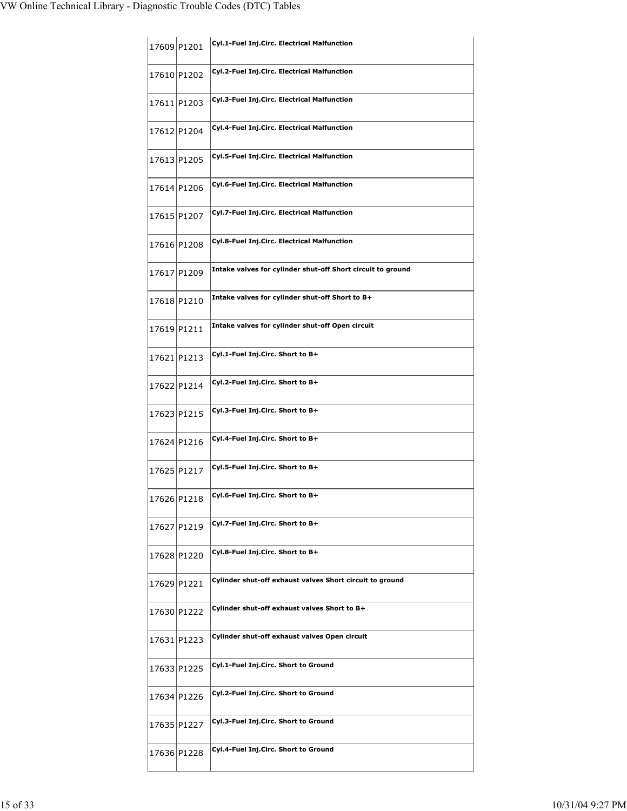|             | 17609 P1201 | Cyl.1-Fuel Inj.Circ. Electrical Malfunction                 |
|-------------|-------------|-------------------------------------------------------------|
|             | 17610 P1202 | Cyl.2-Fuel Inj.Circ. Electrical Malfunction                 |
|             | 17611 P1203 | Cyl.3-Fuel Inj.Circ. Electrical Malfunction                 |
|             | 17612 P1204 | Cyl.4-Fuel Inj.Circ. Electrical Malfunction                 |
|             | 17613 P1205 | Cyl.5-Fuel Inj.Circ. Electrical Malfunction                 |
|             | 17614 P1206 | Cyl.6-Fuel Inj.Circ. Electrical Malfunction                 |
|             | 17615 P1207 | Cyl.7-Fuel Inj.Circ. Electrical Malfunction                 |
|             | 17616 P1208 | Cyl.8-Fuel Inj.Circ. Electrical Malfunction                 |
| 17617 P1209 |             | Intake valves for cylinder shut-off Short circuit to ground |
| 17618 P1210 |             | Intake valves for cylinder shut-off Short to B+             |
| 17619 P1211 |             | Intake valves for cylinder shut-off Open circuit            |
| 17621 P1213 |             | Cyl.1-Fuel Inj.Circ. Short to B+                            |
|             | 17622 P1214 | Cyl.2-Fuel Inj.Circ. Short to B+                            |
|             | 17623 P1215 | Cyl.3-Fuel Inj.Circ. Short to B+                            |
|             | 17624 P1216 | Cyl.4-Fuel Inj.Circ. Short to B+                            |
|             | 17625 P1217 | Cyl.5-Fuel Inj.Circ. Short to B+                            |
|             | 17626 P1218 | Cyl.6-Fuel Inj.Circ. Short to B+                            |
|             | 17627 P1219 | Cyl.7-Fuel Inj.Circ. Short to B+                            |
|             | 17628 P1220 | Cyl.8-Fuel Inj.Circ. Short to B+                            |
| 17629 P1221 |             | Cylinder shut-off exhaust valves Short circuit to ground    |
|             | 17630 P1222 | Cylinder shut-off exhaust valves Short to B+                |
|             | 17631 P1223 | Cylinder shut-off exhaust valves Open circuit               |
|             | 17633 P1225 | Cyl.1-Fuel Inj.Circ. Short to Ground                        |
|             | 17634 P1226 | Cyl.2-Fuel Inj.Circ. Short to Ground                        |
|             | 17635 P1227 | Cyl.3-Fuel Inj.Circ. Short to Ground                        |
|             | 17636 P1228 | Cyl.4-Fuel Inj.Circ. Short to Ground                        |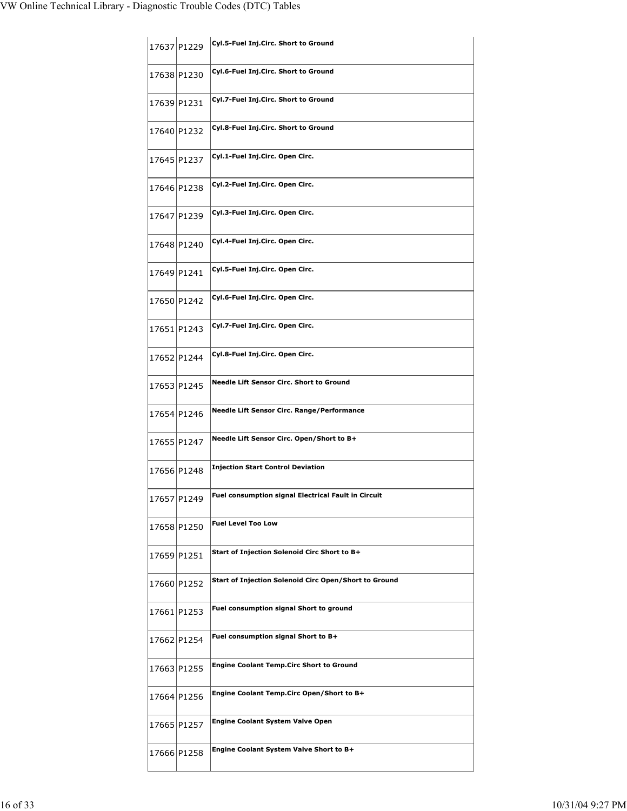| 17637 P1229 | Cyl.5-Fuel Inj.Circ. Short to Ground                  |
|-------------|-------------------------------------------------------|
| 17638 P1230 | Cyl.6-Fuel Inj.Circ. Short to Ground                  |
| 17639 P1231 | Cyl.7-Fuel Inj.Circ. Short to Ground                  |
| 17640 P1232 | Cyl.8-Fuel Inj.Circ. Short to Ground                  |
| 17645 P1237 | Cyl.1-Fuel Inj.Circ. Open Circ.                       |
| 17646 P1238 | Cyl.2-Fuel Inj.Circ. Open Circ.                       |
| 17647 P1239 | Cyl.3-Fuel Inj.Circ. Open Circ.                       |
| 17648 P1240 | Cyl.4-Fuel Inj.Circ. Open Circ.                       |
| 17649 P1241 | Cyl.5-Fuel Inj.Circ. Open Circ.                       |
| 17650 P1242 | Cyl.6-Fuel Inj.Circ. Open Circ.                       |
| 17651 P1243 | Cyl.7-Fuel Inj.Circ. Open Circ.                       |
| 17652 P1244 | Cyl.8-Fuel Inj.Circ. Open Circ.                       |
| 17653 P1245 | Needle Lift Sensor Circ. Short to Ground              |
| 17654 P1246 | <b>Needle Lift Sensor Circ. Range/Performance</b>     |
|             |                                                       |
| 17655 P1247 | Needle Lift Sensor Circ. Open/Short to B+             |
| 17656 P1248 | <b>Injection Start Control Deviation</b>              |
| 17657 P1249 | Fuel consumption signal Electrical Fault in Circuit   |
| 17658 P1250 | <b>Fuel Level Too Low</b>                             |
| 17659 P1251 | Start of Injection Solenoid Circ Short to B+          |
| 17660 P1252 | Start of Injection Solenoid Circ Open/Short to Ground |
| 17661 P1253 | Fuel consumption signal Short to ground               |
| 17662 P1254 | Fuel consumption signal Short to B+                   |
| 17663 P1255 | <b>Engine Coolant Temp.Circ Short to Ground</b>       |
| 17664 P1256 | Engine Coolant Temp. Circ Open/Short to B+            |
| 17665 P1257 | <b>Engine Coolant System Valve Open</b>               |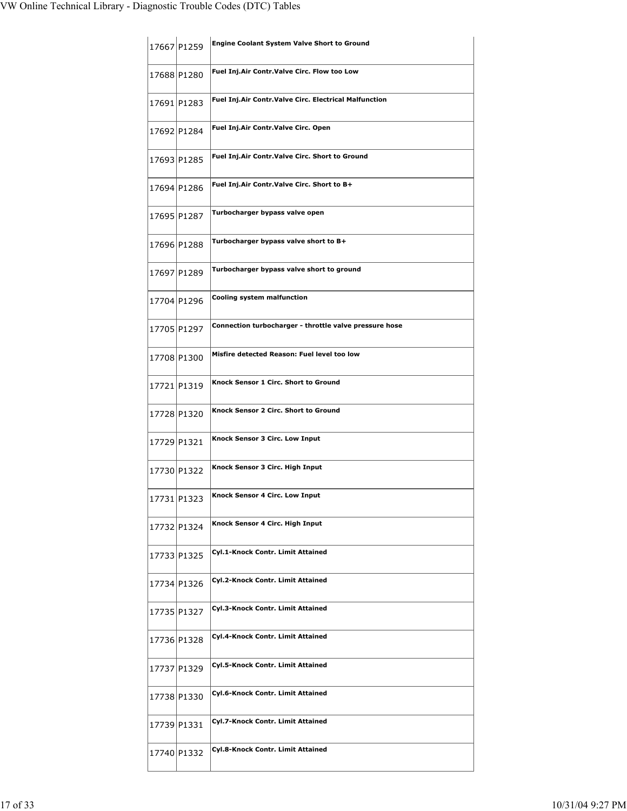|             | 17667 P1259 | <b>Engine Coolant System Valve Short to Ground</b>     |
|-------------|-------------|--------------------------------------------------------|
| 17688 P1280 |             | Fuel Inj.Air Contr.Valve Circ. Flow too Low            |
| 17691 P1283 |             | Fuel Inj.Air Contr.Valve Circ. Electrical Malfunction  |
|             | 17692 P1284 | Fuel Inj.Air Contr.Valve Circ. Open                    |
| 17693 P1285 |             | Fuel Inj.Air Contr.Valve Circ. Short to Ground         |
| 17694 P1286 |             | Fuel Inj.Air Contr.Valve Circ. Short to B+             |
| 17695 P1287 |             | Turbocharger bypass valve open                         |
| 17696 P1288 |             | Turbocharger bypass valve short to B+                  |
| 17697 P1289 |             | Turbocharger bypass valve short to ground              |
| 17704 P1296 |             | Cooling system malfunction                             |
| 17705 P1297 |             | Connection turbocharger - throttle valve pressure hose |
| 17708 P1300 |             | Misfire detected Reason: Fuel level too low            |
| 17721 P1319 |             | Knock Sensor 1 Circ. Short to Ground                   |
| 17728 P1320 |             | Knock Sensor 2 Circ. Short to Ground                   |
| 17729 P1321 |             | Knock Sensor 3 Circ. Low Input                         |
|             | 17730 P1322 | Knock Sensor 3 Circ. High Input                        |
| 17731 P1323 |             | Knock Sensor 4 Circ. Low Input                         |
|             | 17732 P1324 | Knock Sensor 4 Circ. High Input                        |
|             | 17733 P1325 | Cyl.1-Knock Contr. Limit Attained                      |
|             | 17734 P1326 | Cyl.2-Knock Contr. Limit Attained                      |
|             | 17735 P1327 | Cyl.3-Knock Contr. Limit Attained                      |
|             | 17736 P1328 | Cyl.4-Knock Contr. Limit Attained                      |
|             | 17737 P1329 | Cyl.5-Knock Contr. Limit Attained                      |
| 17738 P1330 |             | Cyl.6-Knock Contr. Limit Attained                      |
| 17739 P1331 |             | Cyl.7-Knock Contr. Limit Attained                      |
|             | 17740 P1332 | Cyl.8-Knock Contr. Limit Attained                      |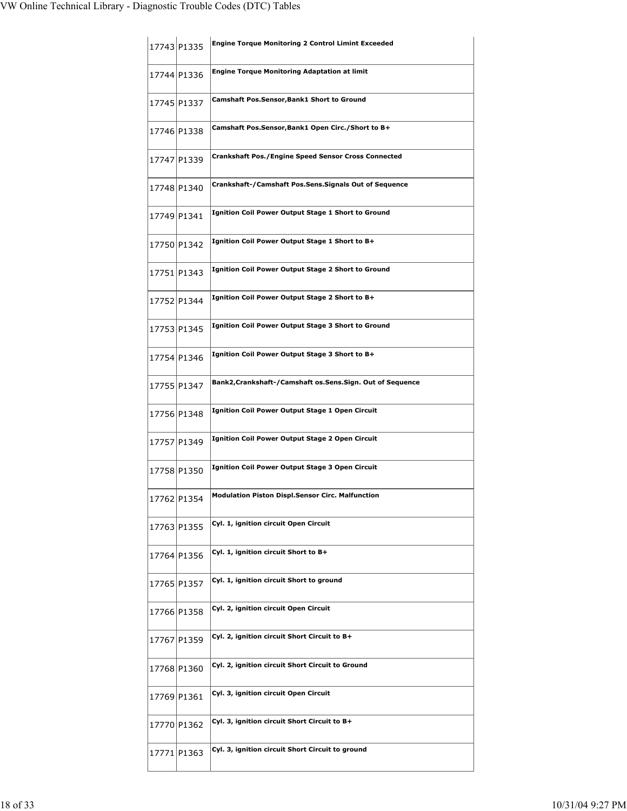|             | 17743 P1335 | <b>Engine Torque Monitoring 2 Control Limint Exceeded</b>   |
|-------------|-------------|-------------------------------------------------------------|
|             | 17744 P1336 | <b>Engine Torque Monitoring Adaptation at limit</b>         |
|             | 17745 P1337 | Camshaft Pos.Sensor,Bank1 Short to Ground                   |
|             | 17746 P1338 | Camshaft Pos.Sensor,Bank1 Open Circ./Short to B+            |
|             | 17747 P1339 | <b>Crankshaft Pos./Engine Speed Sensor Cross Connected</b>  |
|             | 17748 P1340 | Crankshaft-/Camshaft Pos.Sens.Signals Out of Sequence       |
|             | 17749 P1341 | <b>Ignition Coil Power Output Stage 1 Short to Ground</b>   |
|             | 17750 P1342 | Ignition Coil Power Output Stage 1 Short to B+              |
|             | 17751 P1343 | <b>Ignition Coil Power Output Stage 2 Short to Ground</b>   |
|             | 17752 P1344 | Ignition Coil Power Output Stage 2 Short to B+              |
|             | 17753 P1345 | <b>Ignition Coil Power Output Stage 3 Short to Ground</b>   |
|             | 17754 P1346 | Ignition Coil Power Output Stage 3 Short to B+              |
|             | 17755 P1347 | Bank2, Crankshaft-/Camshaft os. Sens. Sign. Out of Sequence |
|             | 17756 P1348 | Ignition Coil Power Output Stage 1 Open Circuit             |
|             | 17757 P1349 | Ignition Coil Power Output Stage 2 Open Circuit             |
|             | 17758 P1350 | Ignition Coil Power Output Stage 3 Open Circuit             |
| 17762 P1354 |             | <b>Modulation Piston Displ.Sensor Circ. Malfunction</b>     |
|             | 17763 P1355 | Cyl. 1, ignition circuit Open Circuit                       |
|             | 17764 P1356 | Cyl. 1, ignition circuit Short to B+                        |
| 17765 P1357 |             | Cyl. 1, ignition circuit Short to ground                    |
|             | 17766 P1358 | Cyl. 2, ignition circuit Open Circuit                       |
|             | 17767 P1359 | Cyl. 2, ignition circuit Short Circuit to B+                |
| 17768 P1360 |             | Cyl. 2, ignition circuit Short Circuit to Ground            |
| 17769 P1361 |             | Cyl. 3, ignition circuit Open Circuit                       |
| 17770 P1362 |             | Cyl. 3, ignition circuit Short Circuit to B+                |
|             | 17771 P1363 | Cyl. 3, ignition circuit Short Circuit to ground            |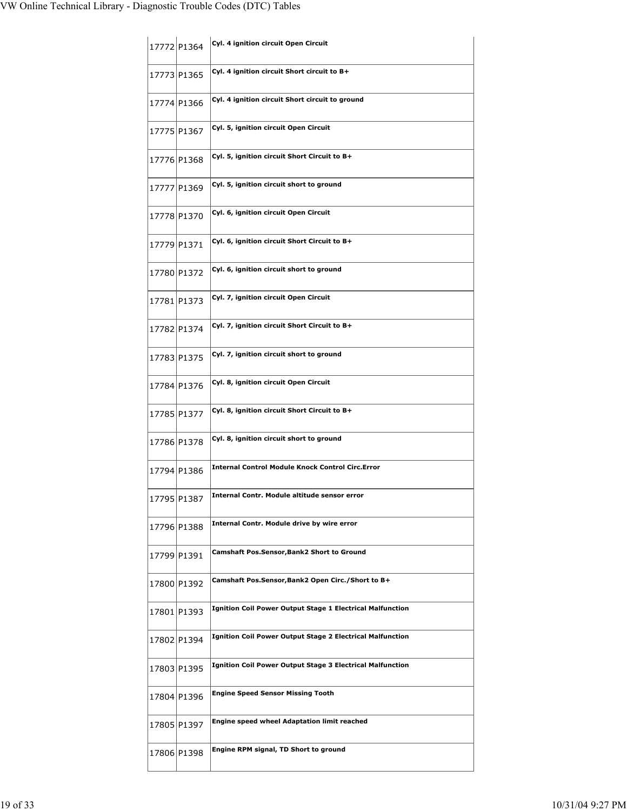| 17772 P1364 | Cyl. 4 ignition circuit Open Circuit                             |
|-------------|------------------------------------------------------------------|
| 17773 P1365 | Cyl. 4 ignition circuit Short circuit to B+                      |
| 17774 P1366 | Cyl. 4 ignition circuit Short circuit to ground                  |
| 17775 P1367 | Cyl. 5, ignition circuit Open Circuit                            |
| 17776 P1368 | Cyl. 5, ignition circuit Short Circuit to B+                     |
| 17777 P1369 | Cyl. 5, ignition circuit short to ground                         |
| 17778 P1370 | Cyl. 6, ignition circuit Open Circuit                            |
| 17779 P1371 | Cyl. 6, ignition circuit Short Circuit to B+                     |
| 17780 P1372 | Cyl. 6, ignition circuit short to ground                         |
| 17781 P1373 | Cyl. 7, ignition circuit Open Circuit                            |
| 17782 P1374 | Cyl. 7, ignition circuit Short Circuit to B+                     |
| 17783 P1375 | Cyl. 7, ignition circuit short to ground                         |
| 17784 P1376 | Cyl. 8, ignition circuit Open Circuit                            |
| 17785 P1377 | Cyl. 8, ignition circuit Short Circuit to B+                     |
| 17786 P1378 | Cyl. 8, ignition circuit short to ground                         |
| 17794 P1386 | <b>Internal Control Module Knock Control Circ.Error</b>          |
| 17795 P1387 | Internal Contr. Module altitude sensor error                     |
| 17796 P1388 | Internal Contr. Module drive by wire error                       |
| 17799 P1391 | <b>Camshaft Pos.Sensor,Bank2 Short to Ground</b>                 |
| 17800 P1392 | Camshaft Pos.Sensor,Bank2 Open Circ./Short to B+                 |
| 17801 P1393 | <b>Ignition Coil Power Output Stage 1 Electrical Malfunction</b> |
| 17802 P1394 | <b>Ignition Coil Power Output Stage 2 Electrical Malfunction</b> |
| 17803 P1395 | <b>Ignition Coil Power Output Stage 3 Electrical Malfunction</b> |
| 17804 P1396 | <b>Engine Speed Sensor Missing Tooth</b>                         |
| 17805 P1397 | Engine speed wheel Adaptation limit reached                      |
| 17806 P1398 | Engine RPM signal, TD Short to ground                            |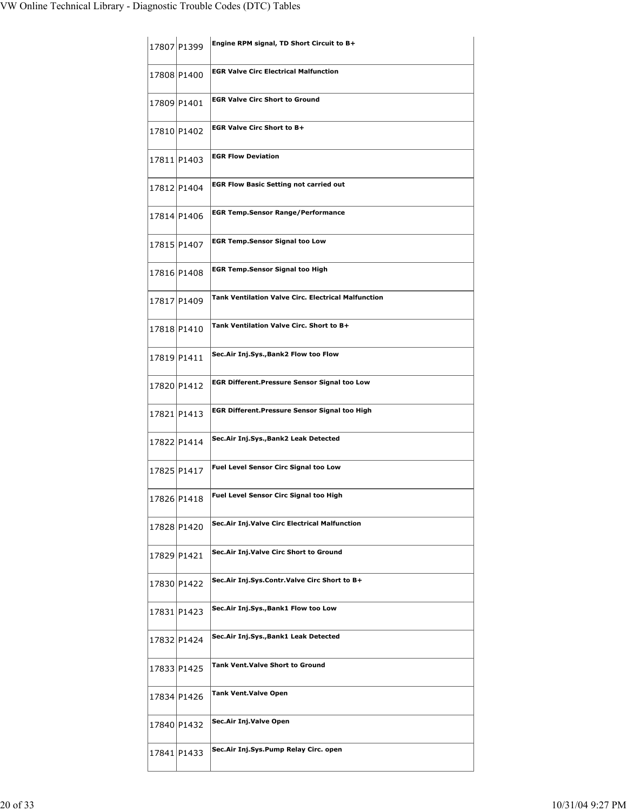|             | 17807 P1399 | Engine RPM signal, TD Short Circuit to B+                  |
|-------------|-------------|------------------------------------------------------------|
| 17808 P1400 |             | <b>EGR Valve Circ Electrical Malfunction</b>               |
|             | 17809 P1401 | <b>EGR Valve Circ Short to Ground</b>                      |
|             | 17810 P1402 | <b>EGR Valve Circ Short to B+</b>                          |
| 17811 P1403 |             | <b>EGR Flow Deviation</b>                                  |
|             | 17812 P1404 | <b>EGR Flow Basic Setting not carried out</b>              |
|             | 17814 P1406 | <b>EGR Temp.Sensor Range/Performance</b>                   |
|             | 17815 P1407 | <b>EGR Temp.Sensor Signal too Low</b>                      |
|             | 17816 P1408 | <b>EGR Temp.Sensor Signal too High</b>                     |
|             | 17817 P1409 | <b>Tank Ventilation Valve Circ. Electrical Malfunction</b> |
|             | 17818 P1410 | Tank Ventilation Valve Circ. Short to B+                   |
| 17819 P1411 |             | Sec.Air Inj.Sys., Bank2 Flow too Flow                      |
|             | 17820 P1412 | <b>EGR Different.Pressure Sensor Signal too Low</b>        |
|             | 17821 P1413 | EGR Different.Pressure Sensor Signal too High              |
|             | 17822 P1414 | Sec.Air Inj.Sys., Bank2 Leak Detected                      |
|             | 17825 P1417 | Fuel Level Sensor Circ Signal too Low                      |
| 17826 P1418 |             | <b>Fuel Level Sensor Circ Signal too High</b>              |
|             | 17828 P1420 | Sec.Air Inj.Valve Circ Electrical Malfunction              |
| 17829 P1421 |             | Sec.Air Inj.Valve Circ Short to Ground                     |
|             | 17830 P1422 | Sec.Air Inj.Sys.Contr.Valve Circ Short to B+               |
|             | 17831 P1423 | Sec.Air Inj.Sys., Bank1 Flow too Low                       |
|             | 17832 P1424 | Sec.Air Inj.Sys.,Bank1 Leak Detected                       |
|             | 17833 P1425 | Tank Vent.Valve Short to Ground                            |
|             | 17834 P1426 | <b>Tank Vent.Valve Open</b>                                |
| 17840 P1432 |             | Sec.Air Inj.Valve Open                                     |
|             | 17841 P1433 | Sec.Air Inj.Sys.Pump Relay Circ. open                      |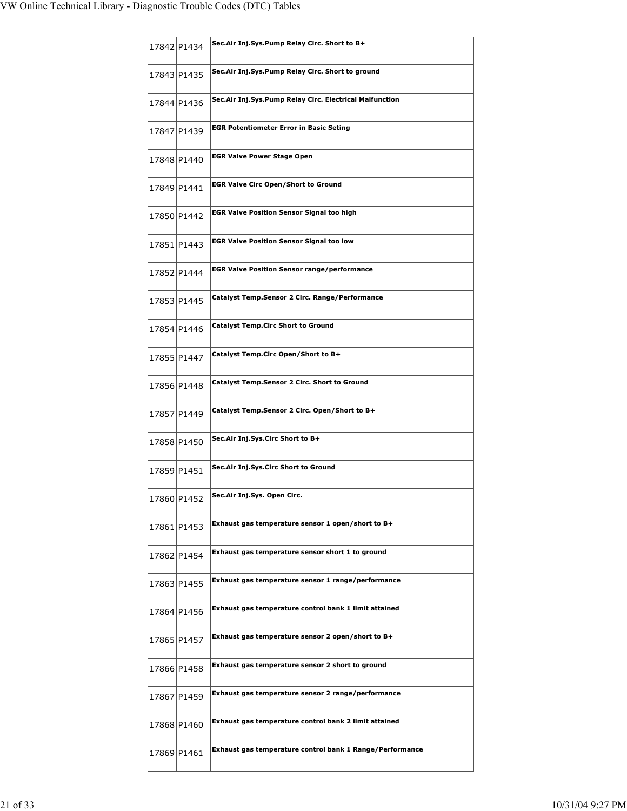| 17842 P1434 |             | Sec.Air Inj.Sys.Pump Relay Circ. Short to B+             |
|-------------|-------------|----------------------------------------------------------|
|             | 17843 P1435 | Sec.Air Inj.Sys.Pump Relay Circ. Short to ground         |
|             | 17844 P1436 | Sec.Air Inj.Sys.Pump Relay Circ. Electrical Malfunction  |
|             | 17847 P1439 | <b>EGR Potentiometer Error in Basic Seting</b>           |
|             | 17848 P1440 | <b>EGR Valve Power Stage Open</b>                        |
|             | 17849 P1441 | <b>EGR Valve Circ Open/Short to Ground</b>               |
|             | 17850 P1442 | <b>EGR Valve Position Sensor Signal too high</b>         |
|             | 17851 P1443 | <b>EGR Valve Position Sensor Signal too low</b>          |
|             | 17852 P1444 | <b>EGR Valve Position Sensor range/performance</b>       |
|             | 17853 P1445 | Catalyst Temp.Sensor 2 Circ. Range/Performance           |
|             | 17854 P1446 | <b>Catalyst Temp.Circ Short to Ground</b>                |
|             | 17855 P1447 | Catalyst Temp.Circ Open/Short to B+                      |
|             | 17856 P1448 | <b>Catalyst Temp.Sensor 2 Circ. Short to Ground</b>      |
|             | 17857 P1449 | Catalyst Temp.Sensor 2 Circ. Open/Short to B+            |
|             | 17858 P1450 | Sec.Air Inj.Sys.Circ Short to B+                         |
|             | 17859 P1451 | Sec.Air Inj.Sys.Circ Short to Ground                     |
|             | 17860 P1452 | Sec.Air Inj.Sys. Open Circ.                              |
|             | 17861 P1453 | Exhaust gas temperature sensor 1 open/short to B+        |
|             | 17862 P1454 | Exhaust gas temperature sensor short 1 to ground         |
|             | 17863 P1455 | Exhaust gas temperature sensor 1 range/performance       |
|             | 17864 P1456 | Exhaust gas temperature control bank 1 limit attained    |
|             | 17865 P1457 | Exhaust gas temperature sensor 2 open/short to B+        |
|             | 17866 P1458 | Exhaust gas temperature sensor 2 short to ground         |
|             | 17867 P1459 | Exhaust gas temperature sensor 2 range/performance       |
|             | 17868 P1460 | Exhaust gas temperature control bank 2 limit attained    |
|             | 17869 P1461 | Exhaust gas temperature control bank 1 Range/Performance |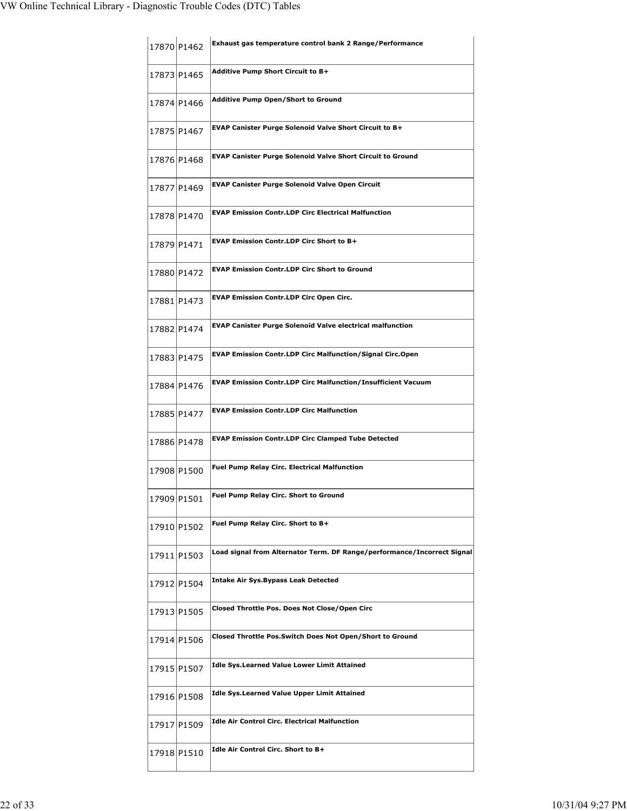| 17870 P1462 | Exhaust gas temperature control bank 2 Range/Performance                |
|-------------|-------------------------------------------------------------------------|
| 17873 P1465 | Additive Pump Short Circuit to B+                                       |
| 17874 P1466 | <b>Additive Pump Open/Short to Ground</b>                               |
| 17875 P1467 | <b>EVAP Canister Purge Solenoid Valve Short Circuit to B+</b>           |
| 17876 P1468 | <b>EVAP Canister Purge Solenoid Valve Short Circuit to Ground</b>       |
| 17877 P1469 | <b>EVAP Canister Purge Solenoid Valve Open Circuit</b>                  |
| 17878 P1470 | <b>EVAP Emission Contr.LDP Circ Electrical Malfunction</b>              |
| 17879 P1471 | <b>EVAP Emission Contr.LDP Circ Short to B+</b>                         |
| 17880 P1472 | <b>EVAP Emission Contr.LDP Circ Short to Ground</b>                     |
| 17881 P1473 | <b>EVAP Emission Contr.LDP Circ Open Circ.</b>                          |
| 17882 P1474 | <b>EVAP Canister Purge Solenoid Valve electrical malfunction</b>        |
| 17883 P1475 | <b>EVAP Emission Contr.LDP Circ Malfunction/Signal Circ.Open</b>        |
| 17884 P1476 | <b>EVAP Emission Contr.LDP Circ Malfunction/Insufficient Vacuum</b>     |
| 17885 P1477 | <b>EVAP Emission Contr.LDP Circ Malfunction</b>                         |
| 17886 P1478 | <b>EVAP Emission Contr.LDP Circ Clamped Tube Detected</b>               |
| 17908 P1500 | <b>Fuel Pump Relay Circ. Electrical Malfunction</b>                     |
| 17909 P1501 | Fuel Pump Relay Circ. Short to Ground                                   |
| 17910 P1502 | Fuel Pump Relay Circ. Short to B+                                       |
| 17911 P1503 | Load signal from Alternator Term. DF Range/performance/Incorrect Signal |
| 17912 P1504 | <b>Intake Air Sys. Bypass Leak Detected</b>                             |
| 17913 P1505 | Closed Throttle Pos. Does Not Close/Open Circ                           |
| 17914 P1506 | Closed Throttle Pos.Switch Does Not Open/Short to Ground                |
| 17915 P1507 | <b>Idle Sys.Learned Value Lower Limit Attained</b>                      |
| 17916 P1508 | <b>Idle Sys.Learned Value Upper Limit Attained</b>                      |
| 17917 P1509 | <b>Idle Air Control Circ. Electrical Malfunction</b>                    |
| 17918 P1510 | Idle Air Control Circ. Short to B+                                      |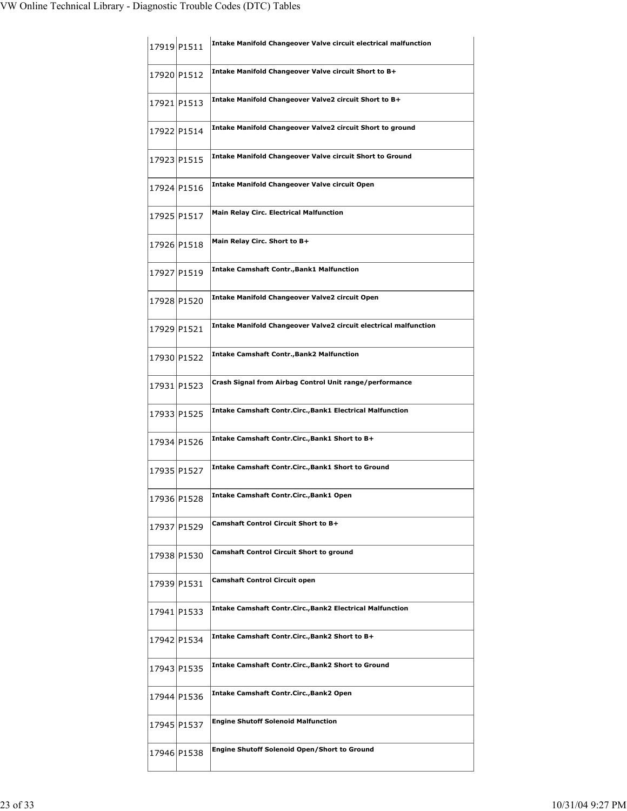| 17919 P1511 |             | Intake Manifold Changeover Valve circuit electrical malfunction         |
|-------------|-------------|-------------------------------------------------------------------------|
| 17920 P1512 |             | Intake Manifold Changeover Valve circuit Short to B+                    |
| 17921 P1513 |             | Intake Manifold Changeover Valve2 circuit Short to B+                   |
|             | 17922 P1514 | Intake Manifold Changeover Valve2 circuit Short to ground               |
|             | 17923 P1515 | <b>Intake Manifold Changeover Valve circuit Short to Ground</b>         |
|             | 17924 P1516 | <b>Intake Manifold Changeover Valve circuit Open</b>                    |
|             | 17925 P1517 | <b>Main Relay Circ. Electrical Malfunction</b>                          |
|             | 17926 P1518 | Main Relay Circ. Short to B+                                            |
|             | 17927 P1519 | <b>Intake Camshaft Contr., Bank1 Malfunction</b>                        |
|             | 17928 P1520 | Intake Manifold Changeover Valve2 circuit Open                          |
| 17929 P1521 |             | <b>Intake Manifold Changeover Valve2 circuit electrical malfunction</b> |
| 17930 P1522 |             | <b>Intake Camshaft Contr., Bank2 Malfunction</b>                        |
|             | 17931 P1523 | Crash Signal from Airbag Control Unit range/performance                 |
|             | 17933 P1525 | <b>Intake Camshaft Contr.Circ., Bank1 Electrical Malfunction</b>        |
|             | 17934 P1526 | Intake Camshaft Contr.Circ., Bank1 Short to B+                          |
| 17935 P1527 |             | Intake Camshaft Contr.Circ., Bank1 Short to Ground                      |
| 17936 P1528 |             | Intake Camshaft Contr.Circ., Bank1 Open                                 |
|             | 17937 P1529 | <b>Camshaft Control Circuit Short to B+</b>                             |
|             | 17938 P1530 | <b>Camshaft Control Circuit Short to ground</b>                         |
| 17939 P1531 |             | <b>Camshaft Control Circuit open</b>                                    |
|             | 17941 P1533 | <b>Intake Camshaft Contr.Circ., Bank2 Electrical Malfunction</b>        |
|             | 17942 P1534 | Intake Camshaft Contr.Circ.,Bank2 Short to B+                           |
|             | 17943 P1535 | <b>Intake Camshaft Contr.Circ.,Bank2 Short to Ground</b>                |
|             | 17944 P1536 | Intake Camshaft Contr.Circ., Bank2 Open                                 |
|             | 17945 P1537 | <b>Engine Shutoff Solenoid Malfunction</b>                              |
|             | 17946 P1538 | Engine Shutoff Solenoid Open/Short to Ground                            |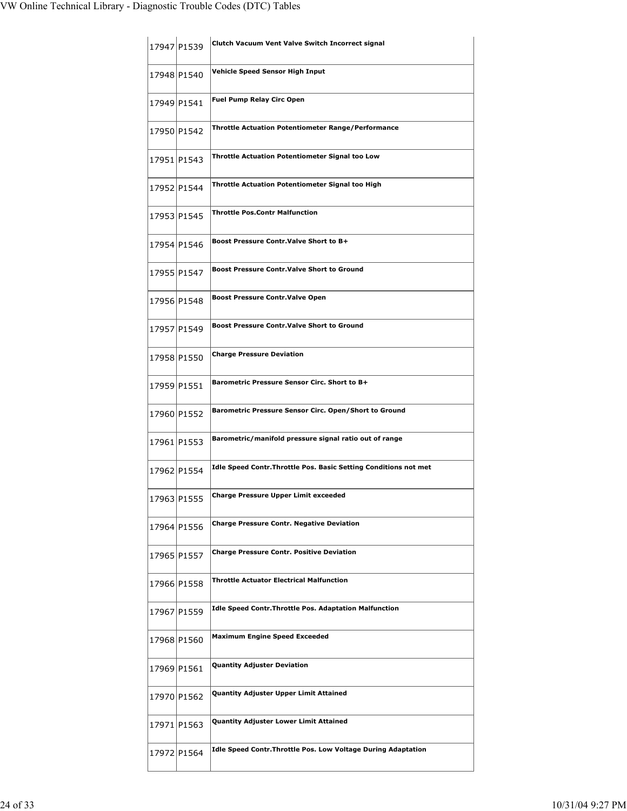| 17947 P1539 | Clutch Vacuum Vent Valve Switch Incorrect signal                 |
|-------------|------------------------------------------------------------------|
| 17948 P1540 | Vehicle Speed Sensor High Input                                  |
| 17949 P1541 | <b>Fuel Pump Relay Circ Open</b>                                 |
| 17950 P1542 | <b>Throttle Actuation Potentiometer Range/Performance</b>        |
| 17951 P1543 | <b>Throttle Actuation Potentiometer Signal too Low</b>           |
| 17952 P1544 | Throttle Actuation Potentiometer Signal too High                 |
| 17953 P1545 | <b>Throttle Pos.Contr Malfunction</b>                            |
| 17954 P1546 | Boost Pressure Contr. Valve Short to B+                          |
| 17955 P1547 | <b>Boost Pressure Contr. Valve Short to Ground</b>               |
| 17956 P1548 | <b>Boost Pressure Contr. Valve Open</b>                          |
| 17957 P1549 | <b>Boost Pressure Contr. Valve Short to Ground</b>               |
| 17958 P1550 | <b>Charge Pressure Deviation</b>                                 |
| 17959 P1551 | Barometric Pressure Sensor Circ. Short to B+                     |
| 17960 P1552 | Barometric Pressure Sensor Circ. Open/Short to Ground            |
| 17961 P1553 | Barometric/manifold pressure signal ratio out of range           |
| 17962 P1554 | Idle Speed Contr. Throttle Pos. Basic Setting Conditions not met |
| 17963 P1555 | <b>Charge Pressure Upper Limit exceeded</b>                      |
| 17964 P1556 | <b>Charge Pressure Contr. Negative Deviation</b>                 |
| 17965 P1557 | <b>Charge Pressure Contr. Positive Deviation</b>                 |
| 17966 P1558 | <b>Throttle Actuator Electrical Malfunction</b>                  |
| 17967 P1559 | <b>Idle Speed Contr. Throttle Pos. Adaptation Malfunction</b>    |
| 17968 P1560 | <b>Maximum Engine Speed Exceeded</b>                             |
| 17969 P1561 | <b>Quantity Adjuster Deviation</b>                               |
| 17970 P1562 | Quantity Adjuster Upper Limit Attained                           |
| 17971 P1563 | Quantity Adjuster Lower Limit Attained                           |
| 17972 P1564 | Idle Speed Contr. Throttle Pos. Low Voltage During Adaptation    |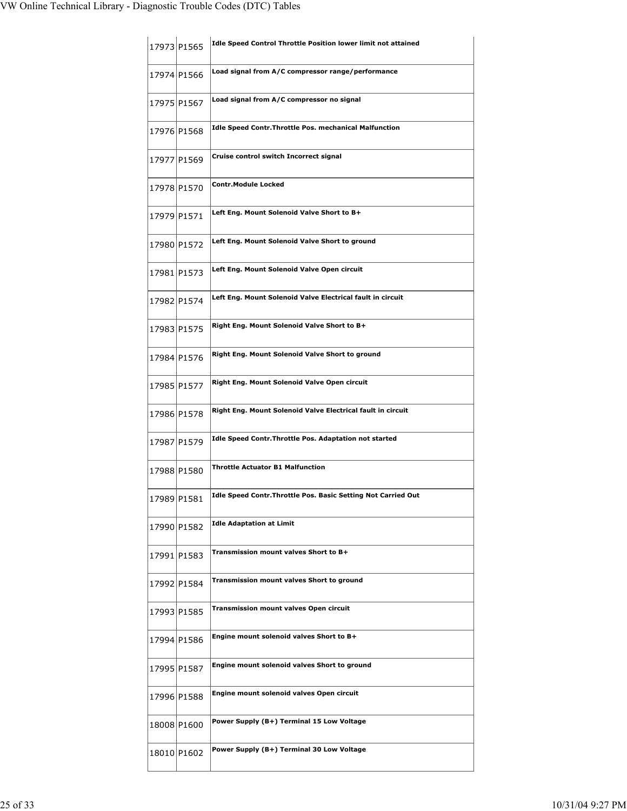|             | 17973 P1565 | Idle Speed Control Throttle Position lower limit not attained |
|-------------|-------------|---------------------------------------------------------------|
|             | 17974 P1566 | Load signal from A/C compressor range/performance             |
|             | 17975 P1567 | Load signal from A/C compressor no signal                     |
|             | 17976 P1568 | <b>Idle Speed Contr. Throttle Pos. mechanical Malfunction</b> |
|             | 17977 P1569 | Cruise control switch Incorrect signal                        |
|             | 17978 P1570 | <b>Contr.Module Locked</b>                                    |
|             | 17979 P1571 | Left Eng. Mount Solenoid Valve Short to B+                    |
|             | 17980 P1572 | Left Eng. Mount Solenoid Valve Short to ground                |
| 17981 P1573 |             | Left Eng. Mount Solenoid Valve Open circuit                   |
|             | 17982 P1574 | Left Eng. Mount Solenoid Valve Electrical fault in circuit    |
|             | 17983 P1575 | Right Eng. Mount Solenoid Valve Short to B+                   |
| 17984 P1576 |             | Right Eng. Mount Solenoid Valve Short to ground               |
|             | 17985 P1577 | Right Eng. Mount Solenoid Valve Open circuit                  |
|             | 17986 P1578 | Right Eng. Mount Solenoid Valve Electrical fault in circuit   |
|             | 17987 P1579 | Idle Speed Contr. Throttle Pos. Adaptation not started        |
|             | 17988 P1580 | <b>Throttle Actuator B1 Malfunction</b>                       |
| 17989 P1581 |             | Idle Speed Contr.Throttle Pos. Basic Setting Not Carried Out  |
|             | 17990 P1582 | <b>Idle Adaptation at Limit</b>                               |
|             | 17991 P1583 | Transmission mount valves Short to B+                         |
|             | 17992 P1584 | Transmission mount valves Short to ground                     |
|             | 17993 P1585 | Transmission mount valves Open circuit                        |
|             | 17994 P1586 | Engine mount solenoid valves Short to B+                      |
|             | 17995 P1587 | Engine mount solenoid valves Short to ground                  |
|             | 17996 P1588 | Engine mount solenoid valves Open circuit                     |
|             | 18008 P1600 | Power Supply (B+) Terminal 15 Low Voltage                     |
|             | 18010 P1602 | Power Supply (B+) Terminal 30 Low Voltage                     |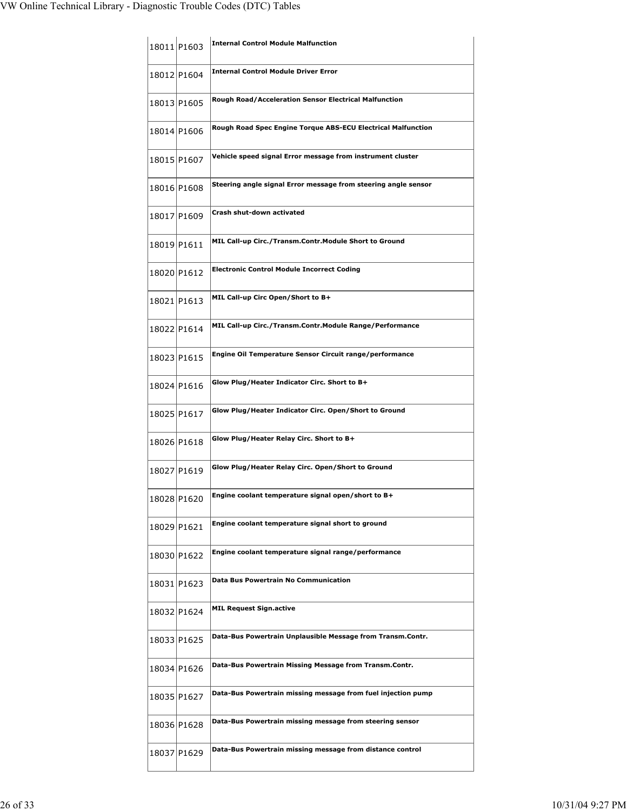|             | 18011 P1603 | <b>Internal Control Module Malfunction</b>                     |
|-------------|-------------|----------------------------------------------------------------|
| 18012 P1604 |             | <b>Internal Control Module Driver Error</b>                    |
|             | 18013 P1605 | Rough Road/Acceleration Sensor Electrical Malfunction          |
|             | 18014 P1606 | Rough Road Spec Engine Torque ABS-ECU Electrical Malfunction   |
|             | 18015 P1607 | Vehicle speed signal Error message from instrument cluster     |
|             | 18016 P1608 | Steering angle signal Error message from steering angle sensor |
|             | 18017 P1609 | Crash shut-down activated                                      |
|             | 18019 P1611 | MIL Call-up Circ./Transm.Contr.Module Short to Ground          |
|             | 18020 P1612 | <b>Electronic Control Module Incorrect Coding</b>              |
|             | 18021 P1613 | MIL Call-up Circ Open/Short to B+                              |
|             | 18022 P1614 | MIL Call-up Circ./Transm.Contr.Module Range/Performance        |
| 18023 P1615 |             | Engine Oil Temperature Sensor Circuit range/performance        |
|             | 18024 P1616 | Glow Plug/Heater Indicator Circ. Short to B+                   |
|             | 18025 P1617 | Glow Plug/Heater Indicator Circ. Open/Short to Ground          |
| 18026 P1618 |             | Glow Plug/Heater Relay Circ. Short to B+                       |
|             | 18027 P1619 | Glow Plug/Heater Relay Circ. Open/Short to Ground              |
| 18028 P1620 |             | Engine coolant temperature signal open/short to B+             |
|             | 18029 P1621 | Engine coolant temperature signal short to ground              |
|             | 18030 P1622 | Engine coolant temperature signal range/performance            |
|             | 18031 P1623 | Data Bus Powertrain No Communication                           |
|             | 18032 P1624 | <b>MIL Request Sign.active</b>                                 |
|             | 18033 P1625 | Data-Bus Powertrain Unplausible Message from Transm.Contr.     |
|             | 18034 P1626 | Data-Bus Powertrain Missing Message from Transm.Contr.         |
|             | 18035 P1627 | Data-Bus Powertrain missing message from fuel injection pump   |
|             | 18036 P1628 | Data-Bus Powertrain missing message from steering sensor       |
|             | 18037 P1629 | Data-Bus Powertrain missing message from distance control      |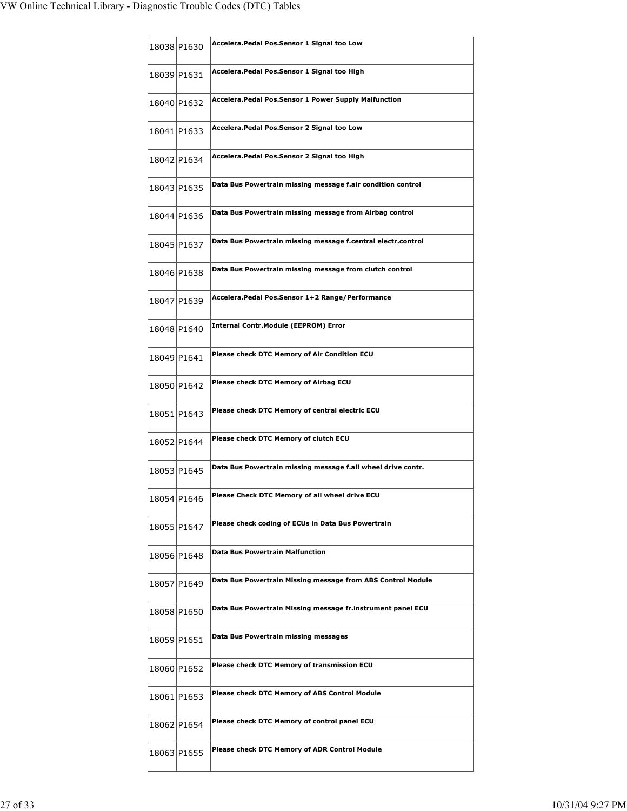| 18038 P1630 | Accelera. Pedal Pos. Sensor 1 Signal too Low                 |
|-------------|--------------------------------------------------------------|
| 18039 P1631 | Accelera.Pedal Pos.Sensor 1 Signal too High                  |
| 18040 P1632 | Accelera. Pedal Pos. Sensor 1 Power Supply Malfunction       |
| 18041 P1633 | Accelera. Pedal Pos. Sensor 2 Signal too Low                 |
| 18042 P1634 | Accelera.Pedal Pos.Sensor 2 Signal too High                  |
| 18043 P1635 | Data Bus Powertrain missing message f.air condition control  |
| 18044 P1636 | Data Bus Powertrain missing message from Airbag control      |
| 18045 P1637 | Data Bus Powertrain missing message f.central electr.control |
| 18046 P1638 | Data Bus Powertrain missing message from clutch control      |
| 18047 P1639 | Accelera.Pedal Pos.Sensor 1+2 Range/Performance              |
| 18048 P1640 | <b>Internal Contr.Module (EEPROM) Error</b>                  |
| 18049 P1641 | <b>Please check DTC Memory of Air Condition ECU</b>          |
| 18050 P1642 | Please check DTC Memory of Airbag ECU                        |
| 18051 P1643 | Please check DTC Memory of central electric ECU              |
| 18052 P1644 | Please check DTC Memory of clutch ECU                        |
| 18053 P1645 | Data Bus Powertrain missing message f.all wheel drive contr. |
| 18054 P1646 | Please Check DTC Memory of all wheel drive ECU               |
| 18055 P1647 | Please check coding of ECUs in Data Bus Powertrain           |
| 18056 P1648 | <b>Data Bus Powertrain Malfunction</b>                       |
| 18057 P1649 | Data Bus Powertrain Missing message from ABS Control Module  |
| 18058 P1650 | Data Bus Powertrain Missing message fr.instrument panel ECU  |
| 18059 P1651 | Data Bus Powertrain missing messages                         |
| 18060 P1652 | Please check DTC Memory of transmission ECU                  |
| 18061 P1653 | <b>Please check DTC Memory of ABS Control Module</b>         |
| 18062 P1654 | Please check DTC Memory of control panel ECU                 |
| 18063 P1655 | <b>Please check DTC Memory of ADR Control Module</b>         |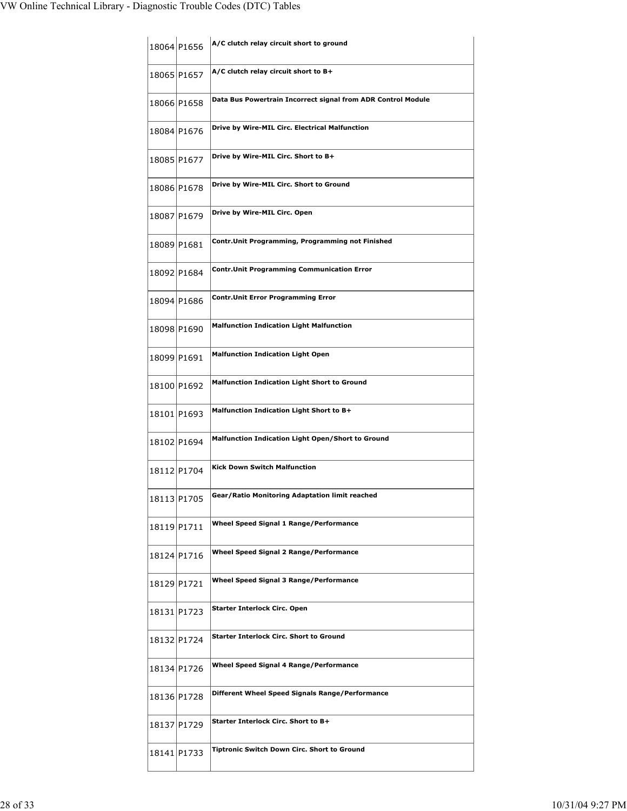|             | 18064 P1656 | A/C clutch relay circuit short to ground                     |
|-------------|-------------|--------------------------------------------------------------|
|             | 18065 P1657 | A/C clutch relay circuit short to B+                         |
|             | 18066 P1658 | Data Bus Powertrain Incorrect signal from ADR Control Module |
|             | 18084 P1676 | Drive by Wire-MIL Circ. Electrical Malfunction               |
|             | 18085 P1677 | Drive by Wire-MIL Circ. Short to B+                          |
|             | 18086 P1678 | Drive by Wire-MIL Circ. Short to Ground                      |
|             | 18087 P1679 | Drive by Wire-MIL Circ. Open                                 |
| 18089 P1681 |             | Contr.Unit Programming, Programming not Finished             |
|             | 18092 P1684 | <b>Contr. Unit Programming Communication Error</b>           |
|             | 18094 P1686 | <b>Contr.Unit Error Programming Error</b>                    |
| 18098 P1690 |             | <b>Malfunction Indication Light Malfunction</b>              |
| 18099 P1691 |             | <b>Malfunction Indication Light Open</b>                     |
|             | 18100 P1692 | <b>Malfunction Indication Light Short to Ground</b>          |
|             | 18101 P1693 | Malfunction Indication Light Short to B+                     |
|             | 18102 P1694 | Malfunction Indication Light Open/Short to Ground            |
|             | 18112 P1704 | <b>Kick Down Switch Malfunction</b>                          |
| 18113 P1705 |             | Gear/Ratio Monitoring Adaptation limit reached               |
|             | 18119 P1711 | <b>Wheel Speed Signal 1 Range/Performance</b>                |
|             | 18124 P1716 | <b>Wheel Speed Signal 2 Range/Performance</b>                |
| 18129 P1721 |             | Wheel Speed Signal 3 Range/Performance                       |
|             | 18131 P1723 | Starter Interlock Circ. Open                                 |
|             | 18132 P1724 | <b>Starter Interlock Circ. Short to Ground</b>               |
|             | 18134 P1726 | Wheel Speed Signal 4 Range/Performance                       |
|             | 18136 P1728 | Different Wheel Speed Signals Range/Performance              |
|             | 18137 P1729 | Starter Interlock Circ. Short to B+                          |
|             | 18141 P1733 | Tiptronic Switch Down Circ. Short to Ground                  |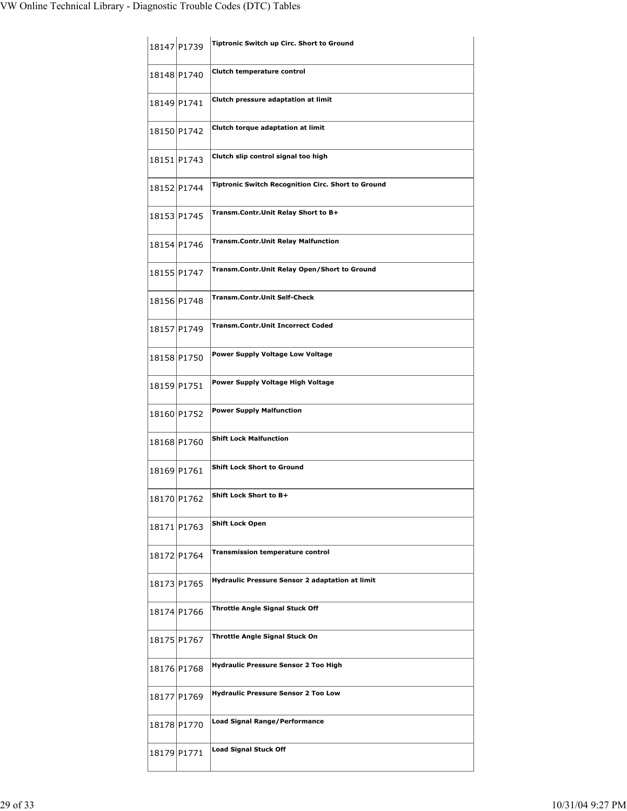|             | 18147 P1739 | Tiptronic Switch up Circ. Short to Ground          |
|-------------|-------------|----------------------------------------------------|
| 18148 P1740 |             | Clutch temperature control                         |
|             | 18149 P1741 | Clutch pressure adaptation at limit                |
|             | 18150 P1742 | Clutch torque adaptation at limit                  |
|             | 18151 P1743 | Clutch slip control signal too high                |
|             | 18152 P1744 | Tiptronic Switch Recognition Circ. Short to Ground |
|             | 18153 P1745 | Transm.Contr.Unit Relay Short to B+                |
|             | 18154 P1746 | <b>Transm.Contr.Unit Relay Malfunction</b>         |
|             | 18155 P1747 | Transm.Contr.Unit Relay Open/Short to Ground       |
|             | 18156 P1748 | <b>Transm.Contr.Unit Self-Check</b>                |
|             | 18157 P1749 | <b>Transm.Contr.Unit Incorrect Coded</b>           |
| 18158 P1750 |             | Power Supply Voltage Low Voltage                   |
|             | 18159 P1751 | Power Supply Voltage High Voltage                  |
|             | 18160 P1752 | <b>Power Supply Malfunction</b>                    |
|             | 18168 P1760 | <b>Shift Lock Malfunction</b>                      |
| 18169 P1761 |             | <b>Shift Lock Short to Ground</b>                  |
| 18170 P1762 |             | <b>Shift Lock Short to B+</b>                      |
|             | 18171 P1763 | <b>Shift Lock Open</b>                             |
|             | 18172 P1764 | <b>Transmission temperature control</b>            |
|             | 18173 P1765 | Hydraulic Pressure Sensor 2 adaptation at limit    |
|             | 18174 P1766 | Throttle Angle Signal Stuck Off                    |
|             | 18175 P1767 | Throttle Angle Signal Stuck On                     |
|             | 18176 P1768 | Hydraulic Pressure Sensor 2 Too High               |
|             | 18177 P1769 | <b>Hydraulic Pressure Sensor 2 Too Low</b>         |
|             | 18178 P1770 | <b>Load Signal Range/Performance</b>               |
| 18179 P1771 |             | <b>Load Signal Stuck Off</b>                       |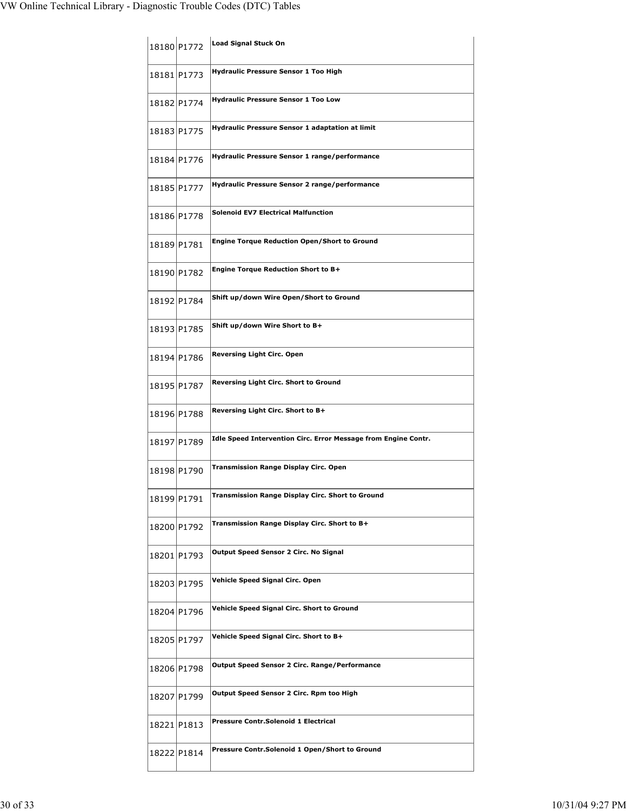| 18180 P1772 | Load Signal Stuck On                                           |
|-------------|----------------------------------------------------------------|
| 18181 P1773 | <b>Hydraulic Pressure Sensor 1 Too High</b>                    |
| 18182 P1774 | <b>Hydraulic Pressure Sensor 1 Too Low</b>                     |
| 18183 P1775 | <b>Hydraulic Pressure Sensor 1 adaptation at limit</b>         |
| 18184 P1776 | Hydraulic Pressure Sensor 1 range/performance                  |
| 18185 P1777 | Hydraulic Pressure Sensor 2 range/performance                  |
| 18186 P1778 | <b>Solenoid EV7 Electrical Malfunction</b>                     |
| 18189 P1781 | <b>Engine Torque Reduction Open/Short to Ground</b>            |
| 18190 P1782 | <b>Engine Torque Reduction Short to B+</b>                     |
| 18192 P1784 | Shift up/down Wire Open/Short to Ground                        |
| 18193 P1785 | Shift up/down Wire Short to B+                                 |
| 18194 P1786 | <b>Reversing Light Circ. Open</b>                              |
| 18195 P1787 | Reversing Light Circ. Short to Ground                          |
| 18196 P1788 | Reversing Light Circ. Short to B+                              |
| 18197 P1789 | Idle Speed Intervention Circ. Error Message from Engine Contr. |
| 18198 P1790 | <b>Transmission Range Display Circ. Open</b>                   |
| 18199 P1791 | Transmission Range Display Circ. Short to Ground               |
| 18200 P1792 | Transmission Range Display Circ. Short to B+                   |
| 18201 P1793 | Output Speed Sensor 2 Circ. No Signal                          |
| 18203 P1795 | Vehicle Speed Signal Circ. Open                                |
| 18204 P1796 | Vehicle Speed Signal Circ. Short to Ground                     |
| 18205 P1797 | Vehicle Speed Signal Circ. Short to B+                         |
| 18206 P1798 | Output Speed Sensor 2 Circ. Range/Performance                  |
| 18207 P1799 | Output Speed Sensor 2 Circ. Rpm too High                       |
| 18221 P1813 | Pressure Contr.Solenoid 1 Electrical                           |
| 18222 P1814 | Pressure Contr.Solenoid 1 Open/Short to Ground                 |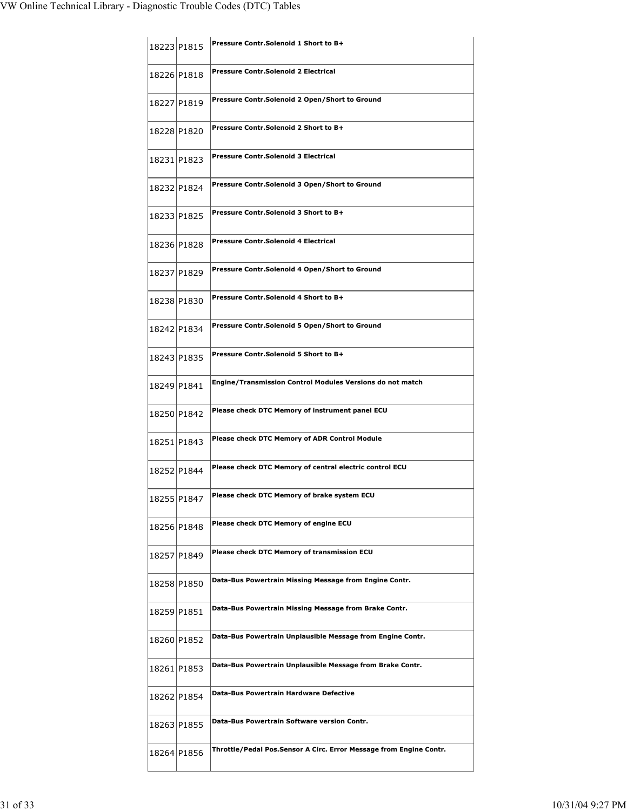| 18223 P1815 | Pressure Contr. Solenoid 1 Short to B+                             |
|-------------|--------------------------------------------------------------------|
| 18226 P1818 | Pressure Contr.Solenoid 2 Electrical                               |
| 18227 P1819 | Pressure Contr.Solenoid 2 Open/Short to Ground                     |
| 18228 P1820 | Pressure Contr. Solenoid 2 Short to B+                             |
| 18231 P1823 | <b>Pressure Contr.Solenoid 3 Electrical</b>                        |
| 18232 P1824 | Pressure Contr.Solenoid 3 Open/Short to Ground                     |
| 18233 P1825 | Pressure Contr. Solenoid 3 Short to B+                             |
| 18236 P1828 | Pressure Contr Solenoid 4 Electrical                               |
| 18237 P1829 | Pressure Contr.Solenoid 4 Open/Short to Ground                     |
| 18238 P1830 | Pressure Contr. Solenoid 4 Short to B+                             |
| 18242 P1834 | Pressure Contr.Solenoid 5 Open/Short to Ground                     |
| 18243 P1835 | Pressure Contr. Solenoid 5 Short to B+                             |
| 18249 P1841 | Engine/Transmission Control Modules Versions do not match          |
| 18250 P1842 | Please check DTC Memory of instrument panel ECU                    |
| 18251 P1843 | <b>Please check DTC Memory of ADR Control Module</b>               |
| 18252 P1844 | Please check DTC Memory of central electric control ECU            |
| 18255 P1847 | Please check DTC Memory of brake system ECU                        |
| 18256 P1848 | Please check DTC Memory of engine ECU                              |
| 18257 P1849 | Please check DTC Memory of transmission ECU                        |
| 18258 P1850 | Data-Bus Powertrain Missing Message from Engine Contr.             |
| 18259 P1851 | Data-Bus Powertrain Missing Message from Brake Contr.              |
| 18260 P1852 | Data-Bus Powertrain Unplausible Message from Engine Contr.         |
| 18261 P1853 | Data-Bus Powertrain Unplausible Message from Brake Contr.          |
| 18262 P1854 | Data-Bus Powertrain Hardware Defective                             |
| 18263 P1855 | Data-Bus Powertrain Software version Contr.                        |
| 18264 P1856 | Throttle/Pedal Pos.Sensor A Circ. Error Message from Engine Contr. |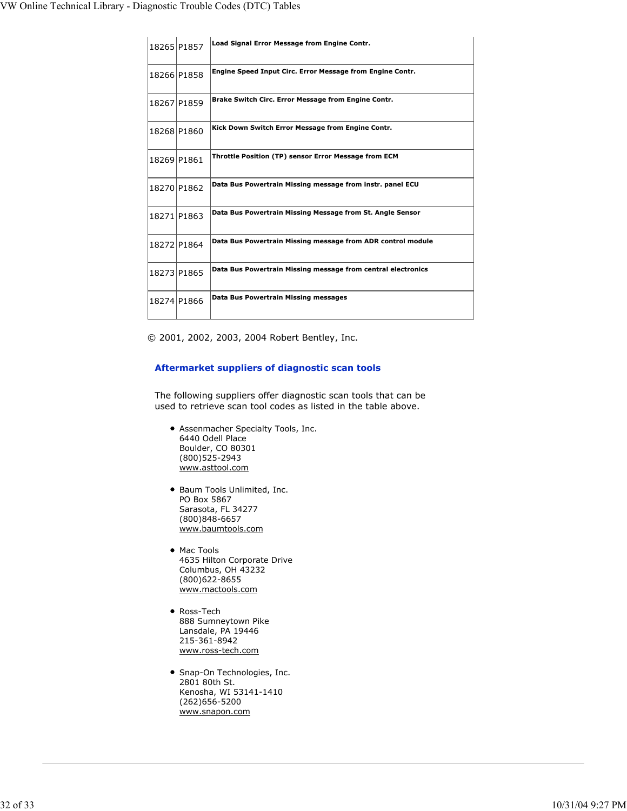| 18265 P1857 | Load Signal Error Message from Engine Contr.                 |
|-------------|--------------------------------------------------------------|
| 18266 P1858 | Engine Speed Input Circ. Error Message from Engine Contr.    |
| 18267 P1859 | Brake Switch Circ. Error Message from Engine Contr.          |
| 18268 P1860 | Kick Down Switch Error Message from Engine Contr.            |
| 18269 P1861 | Throttle Position (TP) sensor Error Message from ECM         |
| 18270 P1862 | Data Bus Powertrain Missing message from instr. panel ECU    |
| 18271 P1863 | Data Bus Powertrain Missing Message from St. Angle Sensor    |
| 18272 P1864 | Data Bus Powertrain Missing message from ADR control module  |
| 18273 P1865 | Data Bus Powertrain Missing message from central electronics |
| 18274 P1866 | Data Bus Powertrain Missing messages                         |

© 2001, 2002, 2003, 2004 Robert Bentley, Inc.

## **Aftermarket suppliers of diagnostic scan tools**

The following suppliers offer diagnostic scan tools that can be used to retrieve scan tool codes as listed in the table above.

- Assenmacher Specialty Tools, Inc. 6440 Odell Place Boulder, CO 80301 (800)525-2943 www.asttool.com
- Baum Tools Unlimited, Inc. PO Box 5867 Sarasota, FL 34277 (800)848-6657 www.baumtools.com
- Mac Tools 4635 Hilton Corporate Drive Columbus, OH 43232 (800)622-8655 www.mactools.com
- Ross-Tech 888 Sumneytown Pike Lansdale, PA 19446 215-361-8942 www.ross-tech.com
- Snap-On Technologies, Inc. 2801 80th St. Kenosha, WI 53141-1410 (262)656-5200 www.snapon.com